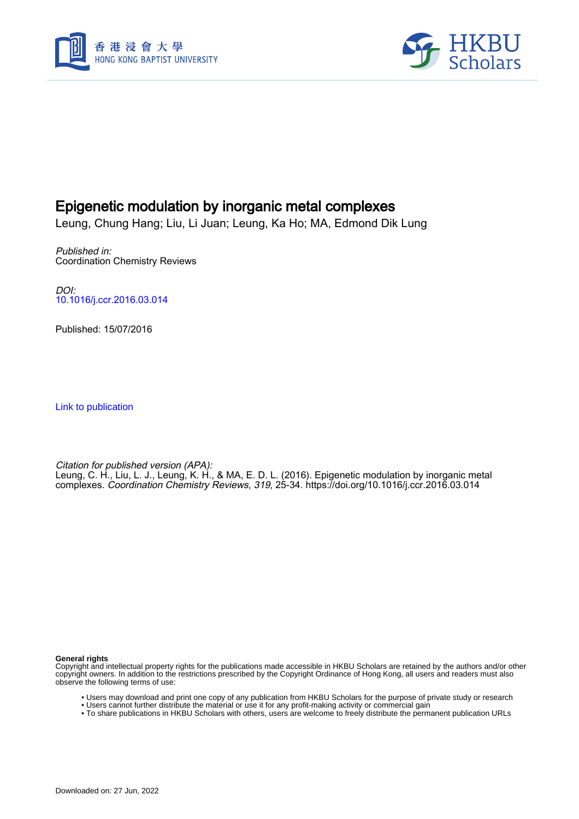



### Epigenetic modulation by inorganic metal complexes

Leung, Chung Hang; Liu, Li Juan; Leung, Ka Ho; MA, Edmond Dik Lung

Published in: Coordination Chemistry Reviews

DOI: [10.1016/j.ccr.2016.03.014](https://doi.org/10.1016/j.ccr.2016.03.014)

Published: 15/07/2016

[Link to publication](https://scholars.hkbu.edu.hk/en/publications/5aa27c5e-2228-4d0e-9b4c-bc20f1103d8b)

Citation for published version (APA): Leung, C. H., Liu, L. J., Leung, K. H., & MA, E. D. L. (2016). Epigenetic modulation by inorganic metal complexes. Coordination Chemistry Reviews, 319, 25-34.<https://doi.org/10.1016/j.ccr.2016.03.014>

**General rights**

Copyright and intellectual property rights for the publications made accessible in HKBU Scholars are retained by the authors and/or other copyright owners. In addition to the restrictions prescribed by the Copyright Ordinance of Hong Kong, all users and readers must also observe the following terms of use:

- Users may download and print one copy of any publication from HKBU Scholars for the purpose of private study or research
- Users cannot further distribute the material or use it for any profit-making activity or commercial gain
- To share publications in HKBU Scholars with others, users are welcome to freely distribute the permanent publication URLs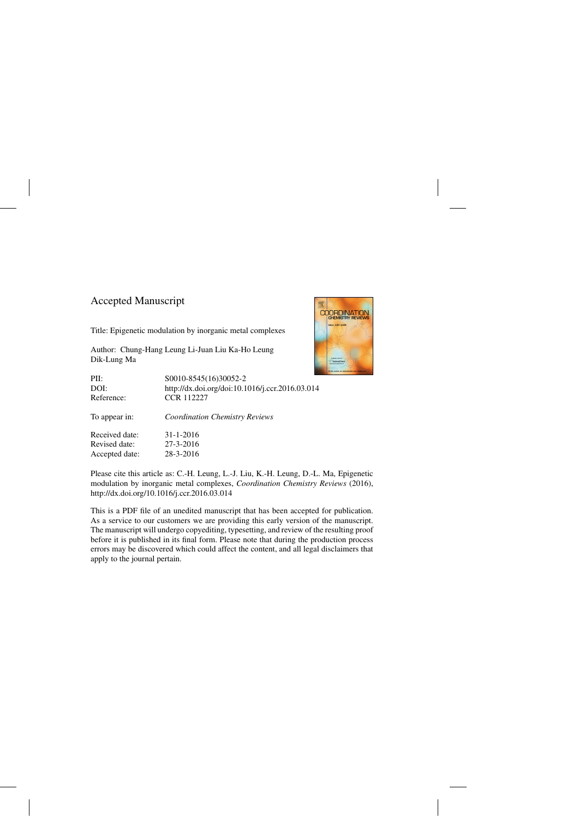### Accepted Manuscript

Title: Epigenetic modulation by inorganic metal complexes

Author: Chung-Hang Leung Li-Juan Liu Ka-Ho Leung Dik-Lung Ma

| PII:           | S0010-8545(16)30052-2                           |
|----------------|-------------------------------------------------|
| DOI:           | http://dx.doi.org/doi:10.1016/j.ccr.2016.03.014 |
| Reference:     | <b>CCR 112227</b>                               |
| To appear in:  | <b>Coordination Chemistry Reviews</b>           |
| Received date: | $31 - 1 - 2016$                                 |
| Revised date:  | 27-3-2016                                       |
| Accepted date: | 28-3-2016                                       |



Please cite this article as: C.-H. Leung, L.-J. Liu, K.-H. Leung, D.-L. Ma, Epigenetic modulation by inorganic metal complexes, *Coordination Chemistry Reviews* (2016), <http://dx.doi.org/10.1016/j.ccr.2016.03.014>

This is a PDF file of an unedited manuscript that has been accepted for publication. As a service to our customers we are providing this early version of the manuscript. The manuscript will undergo copyediting, typesetting, and review of the resulting proof before it is published in its final form. Please note that during the production process errors may be discovered which could affect the content, and all legal disclaimers that apply to the journal pertain.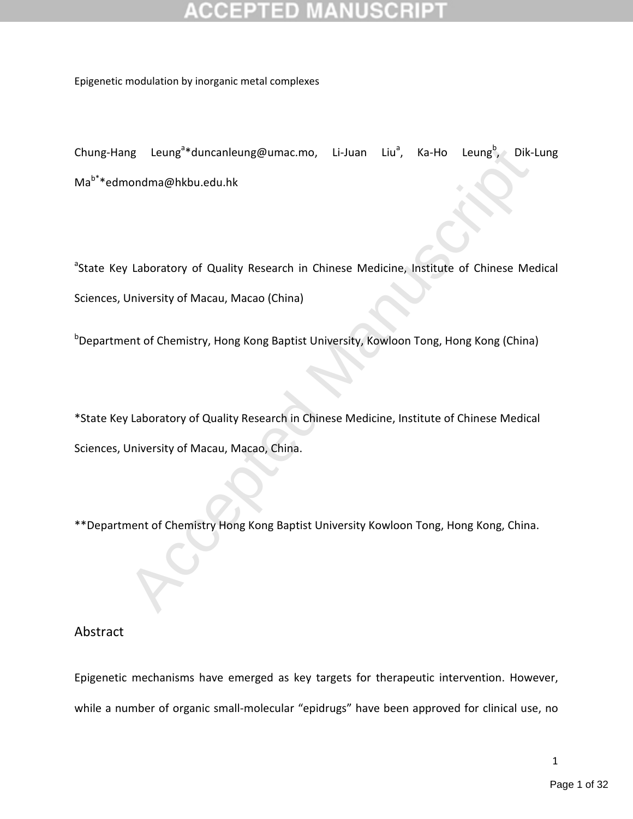Epigenetic modulation by inorganic metal complexes

Chung-Hang Leung<sup>a</sup>\*duncanleung@umac.mo, Li-Juan Liu<sup>a</sup>, Ka-Ho Leung<sup>b</sup>, Dik-Lung Mab\*\*edmondma@hkbu.edu.hk

ng Leung<sup>9</sup>rduncanleung@umac.mo, Li-Juan Liu<sup>9</sup>, Ka-Ho Leung<sup>9</sup>, Dik-<br>
nondma@hkbu.edu.hk<br>
1/ Laboratory of Quality Research in Chinese Medicine, Institute of Chinese Met<br>
Iniversity of Macau, Macao (China)<br>
1/ Laboratory <sup>a</sup>State Key Laboratory of Quality Research in Chinese Medicine, Institute of Chinese Medical Sciences, University of Macau, Macao (China)

**b**Department of Chemistry, Hong Kong Baptist University, Kowloon Tong, Hong Kong (China)

\*State Key Laboratory of Quality Research in Chinese Medicine, Institute of Chinese Medical Sciences, University of Macau, Macao, China.

\*\*Department of Chemistry Hong Kong Baptist University Kowloon Tong, Hong Kong, China.

### Abstract

Epigenetic mechanisms have emerged as key targets for therapeutic intervention. However, while a number of organic small-molecular "epidrugs" have been approved for clinical use, no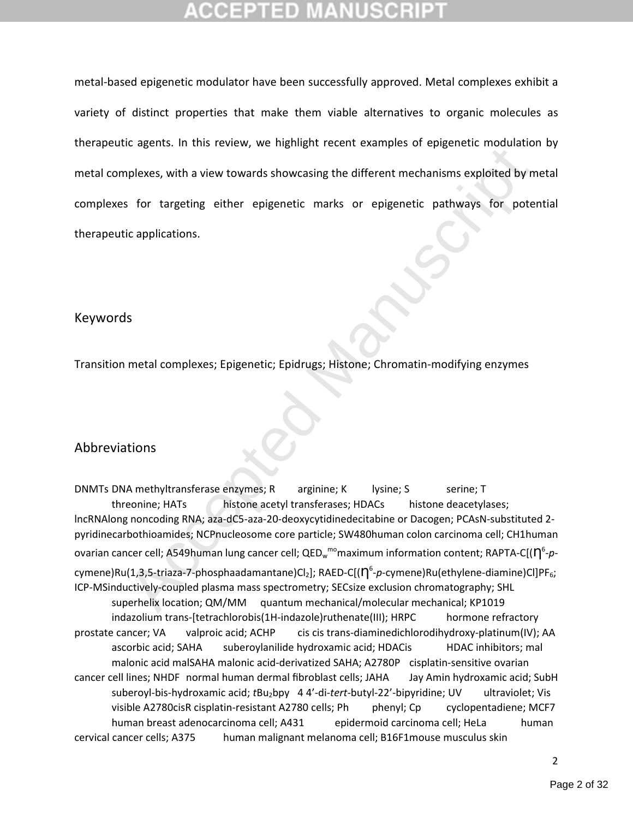metal-based epigenetic modulator have been successfully approved. Metal complexes exhibit a variety of distinct properties that make them viable alternatives to organic molecules as therapeutic agents. In this review, we highlight recent examples of epigenetic modulation by metal complexes, with a view towards showcasing the different mechanisms exploited by metal complexes for targeting either epigenetic marks or epigenetic pathways for potential therapeutic applications.

### Keywords

Transition metal complexes; Epigenetic; Epidrugs; Histone; Chromatin-modifying enzymes

### Abbreviations

eregents. In this reteter, the ingiting release caling the different mechanisms exploited by m<br>plexes, with a view towards showcasing the different mechanisms exploited by m<br>s for targeting either epigenetic marks or epige DNMTs DNA methyltransferase enzymes; R arginine; K lysine; S serine; T threonine; HATs histone acetyl transferases; HDACs histone deacetylases; lncRNAlong noncoding RNA; aza-dC5-aza-20-deoxycytidinedecitabine or Dacogen; PCAsN-substituted 2 pyridinecarbothioamides; NCPnucleosome core particle; SW480human colon carcinoma cell; CH1human ovarian cancer cell; A549human lung cancer cell; QED<sub>w</sub><sup>mo</sup>maximum information content; RAPTA-C[(**η**<sup>6</sup>-ρcymene)Ru(1,3,5-triaza-7-phosphaadamantane)Cl<sub>2</sub>]; RAED-C[( $\eta^6$ -p-cymene)Ru(ethylene-diamine)Cl]PF<sub>6</sub>; ICP-MSinductively-coupled plasma mass spectrometry; SECsize exclusion chromatography; SHL superhelix location; QM/MM quantum mechanical/molecular mechanical; KP1019 indazolium trans-[tetrachlorobis(1H-indazole)ruthenate(III); HRPC hormone refractory prostate cancer; VA valproic acid; ACHP cis cis trans-diaminedichlorodihydroxy-platinum(IV); AA ascorbic acid; SAHA suberoylanilide hydroxamic acid; HDACis HDAC inhibitors; mal malonic acid malSAHA malonic acid-derivatized SAHA; A2780P cisplatin-sensitive ovarian cancer cell lines; NHDF normal human dermal fibroblast cells; JAHA Jay Amin hydroxamic acid; SubH suberoyl-bis-hydroxamic acid; *t*Bu<sub>2</sub>bpy 44'-di-tert-butyl-22'-bipyridine; UV ultraviolet; Vis visible A2780cisR cisplatin-resistant A2780 cells; Ph phenyl; Cp cyclopentadiene; MCF7 human breast adenocarcinoma cell; A431 epidermoid carcinoma cell; HeLa human cervical cancer cells; A375 human malignant melanoma cell; B16F1mouse musculus skin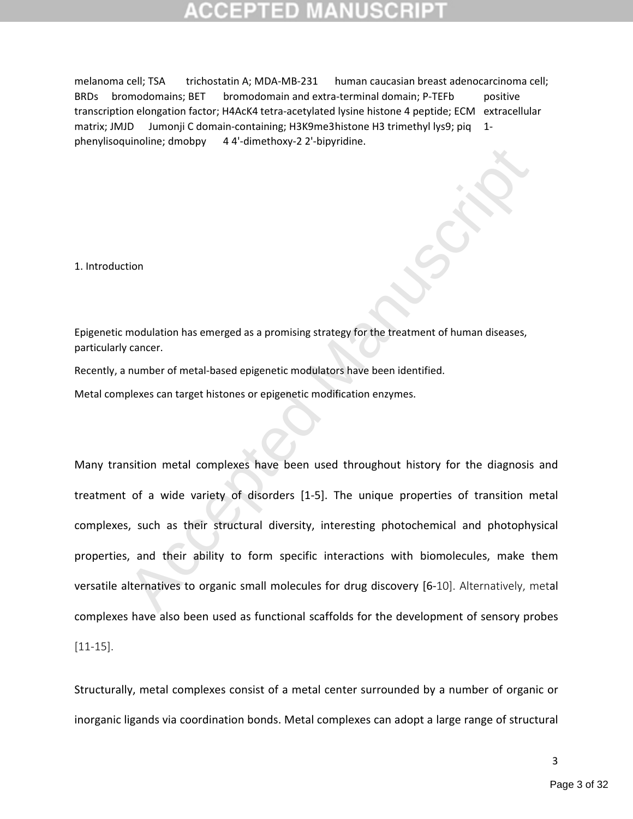melanoma cell; TSA trichostatin A; MDA-MB-231 human caucasian breast adenocarcinoma cell; BRDs bromodomains; BET bromodomain and extra-terminal domain; P-TEFb positive transcription elongation factor; H4AcK4 tetra-acetylated lysine histone 4 peptide; ECM extracellular matrix; JMJD Jumonji C domain-containing; H3K9me3histone H3 trimethyl lys9; piq 1phenylisoquinoline; dmobpy 4 4'-dimethoxy-2 2'-bipyridine.

1. Introduction

Epigenetic modulation has emerged as a promising strategy for the treatment of human diseases, particularly cancer.

Recently, a number of metal-based epigenetic modulators have been identified.

Metal complexes can target histones or epigenetic modification enzymes.

modulation has emerged as a promising strategy for the treatment of human diseases,<br>
reancer.<br>
remember of metal-based epigenetic modulators have been identified.<br>
plexes can target histones or epigenetic modification enzy Many transition metal complexes have been used throughout history for the diagnosis and treatment of a wide variety of disorders [1-5]. The unique properties of transition metal complexes, such as their structural diversity, interesting photochemical and photophysical properties, and their ability to form specific interactions with biomolecules, make them versatile alternatives to organic small molecules for drug discovery [6-10]. Alternatively, metal complexes have also been used as functional scaffolds for the development of sensory probes [11-15].

Structurally, metal complexes consist of a metal center surrounded by a number of organic or inorganic ligands via coordination bonds. Metal complexes can adopt a large range of structural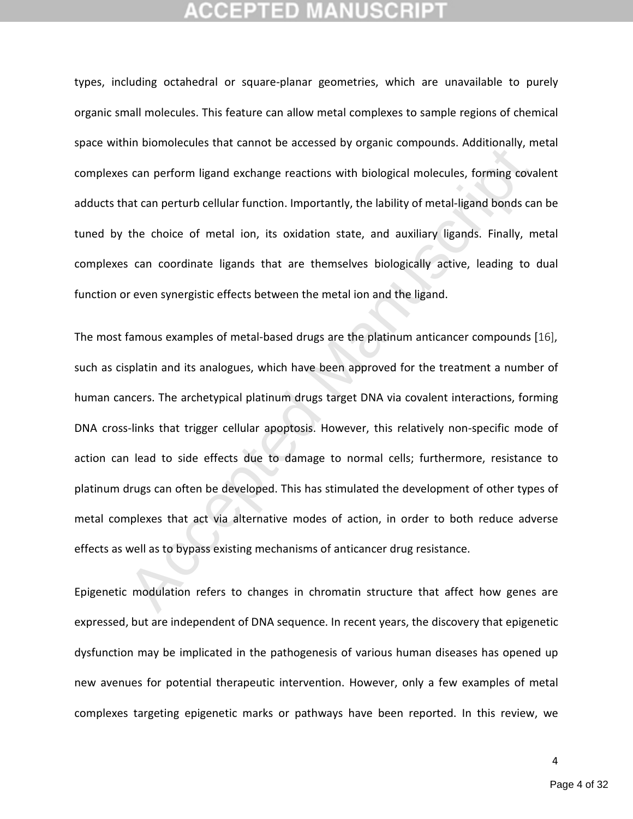types, including octahedral or square-planar geometries, which are unavailable to purely organic small molecules. This feature can allow metal complexes to sample regions of chemical space within biomolecules that cannot be accessed by organic compounds. Additionally, metal complexes can perform ligand exchange reactions with biological molecules, forming covalent adducts that can perturb cellular function. Importantly, the lability of metal-ligand bonds can be tuned by the choice of metal ion, its oxidation state, and auxiliary ligands. Finally, metal complexes can coordinate ligands that are themselves biologically active, leading to dual function or even synergistic effects between the metal ion and the ligand.

mr sionisticated state tambe be decessed by organic compounds. Additionary, in<br>can perform ligand exchange reactions with biological molecules, forming cove<br>at can perturb cellular function. Importantly, the lability of me The most famous examples of metal-based drugs are the platinum anticancer compounds [16], such as cisplatin and its analogues, which have been approved for the treatment a number of human cancers. The archetypical platinum drugs target DNA via covalent interactions, forming DNA cross-links that trigger cellular apoptosis. However, this relatively non-specific mode of action can lead to side effects due to damage to normal cells; furthermore, resistance to platinum drugs can often be developed. This has stimulated the development of other types of metal complexes that act via alternative modes of action, in order to both reduce adverse effects as well as to bypass existing mechanisms of anticancer drug resistance.

Epigenetic modulation refers to changes in chromatin structure that affect how genes are expressed, but are independent of DNA sequence. In recent years, the discovery that epigenetic dysfunction may be implicated in the pathogenesis of various human diseases has opened up new avenues for potential therapeutic intervention. However, only a few examples of metal complexes targeting epigenetic marks or pathways have been reported. In this review, we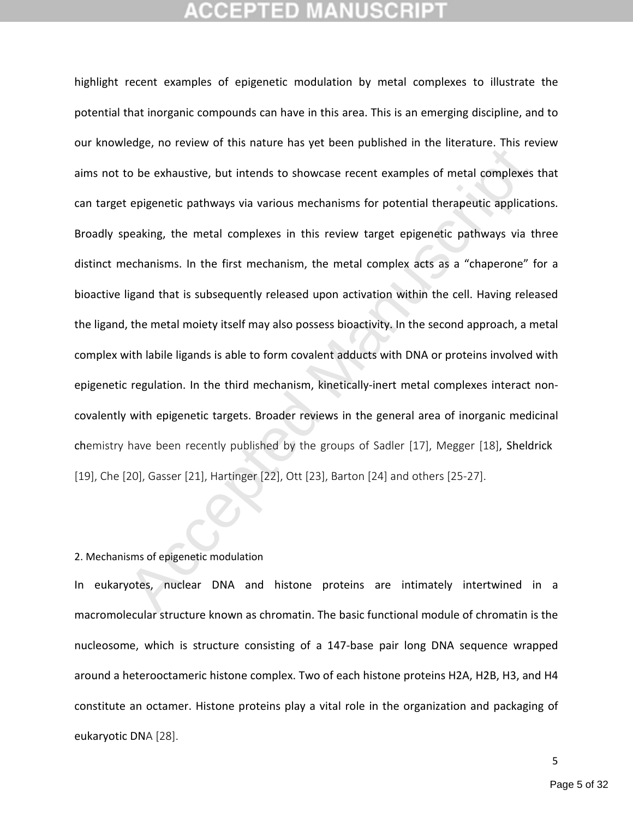Experience of this hadden independent increases in the increase of the section of the best<br>also properties explore the extended Manuscript of the section of the section of the section<br>transition of the metal complexes in t highlight recent examples of epigenetic modulation by metal complexes to illustrate the potential that inorganic compounds can have in this area. This is an emerging discipline, and to our knowledge, no review of this nature has yet been published in the literature. This review aims not to be exhaustive, but intends to showcase recent examples of metal complexes that can target epigenetic pathways via various mechanisms for potential therapeutic applications. Broadly speaking, the metal complexes in this review target epigenetic pathways via three distinct mechanisms. In the first mechanism, the metal complex acts as a "chaperone" for a bioactive ligand that is subsequently released upon activation within the cell. Having released the ligand, the metal moiety itself may also possess bioactivity. In the second approach, a metal complex with labile ligands is able to form covalent adducts with DNA or proteins involved with epigenetic regulation. In the third mechanism, kinetically-inert metal complexes interact noncovalently with epigenetic targets. Broader reviews in the general area of inorganic medicinal chemistry have been recently published by the groups of Sadler [17], Megger [18], Sheldrick [19], Che [20], Gasser [21], Hartinger [22], Ott [23], Barton [24] and others [25-27].

### 2. Mechanisms of epigenetic modulation

In eukaryotes, nuclear DNA and histone proteins are intimately intertwined in a macromolecular structure known as chromatin. The basic functional module of chromatin is the nucleosome, which is structure consisting of a 147-base pair long DNA sequence wrapped around a heterooctameric histone complex. Two of each histone proteins H2A, H2B, H3, and H4 constitute an octamer. Histone proteins play a vital role in the organization and packaging of eukaryotic DNA [28].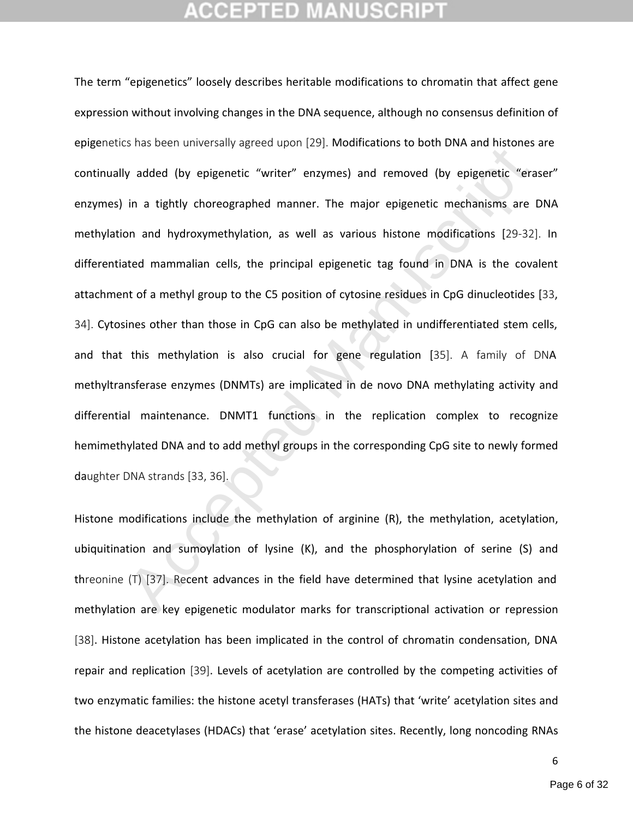by added (by epigenetic "writer" enzymes) and removed (by epigenetic "era<br>in a tightly choreographed manner. The major epigenetic mechanisms are<br>on and hydroxymethylation, as well as various histone modifications [29-32]<br>a The term "epigenetics" loosely describes heritable modifications to chromatin that affect gene expression without involving changes in the DNA sequence, although no consensus definition of epigenetics has been universally agreed upon [29]. Modifications to both DNA and histones are continually added (by epigenetic "writer" enzymes) and removed (by epigenetic "eraser" enzymes) in a tightly choreographed manner. The major epigenetic mechanisms are DNA methylation and hydroxymethylation, as well as various histone modifications [29-32]. In differentiated mammalian cells, the principal epigenetic tag found in DNA is the covalent attachment of a methyl group to the C5 position of cytosine residues in CpG dinucleotides [33, 34]. Cytosines other than those in CpG can also be methylated in undifferentiated stem cells, and that this methylation is also crucial for gene regulation [35]. A family of DNA methyltransferase enzymes (DNMTs) are implicated in de novo DNA methylating activity and differential maintenance. DNMT1 functions in the replication complex to recognize hemimethylated DNA and to add methyl groups in the corresponding CpG site to newly formed daughter DNA strands [33, 36].

Histone modifications include the methylation of arginine (R), the methylation, acetylation, ubiquitination and sumoylation of lysine (K), and the phosphorylation of serine (S) and threonine (T) [37]. Recent advances in the field have determined that lysine acetylation and methylation are key epigenetic modulator marks for transcriptional activation or repression [38]. Histone acetylation has been implicated in the control of chromatin condensation, DNA repair and replication [39]. Levels of acetylation are controlled by the competing activities of two enzymatic families: the histone acetyl transferases (HATs) that 'write' acetylation sites and the histone deacetylases (HDACs) that 'erase' acetylation sites. Recently, long noncoding RNAs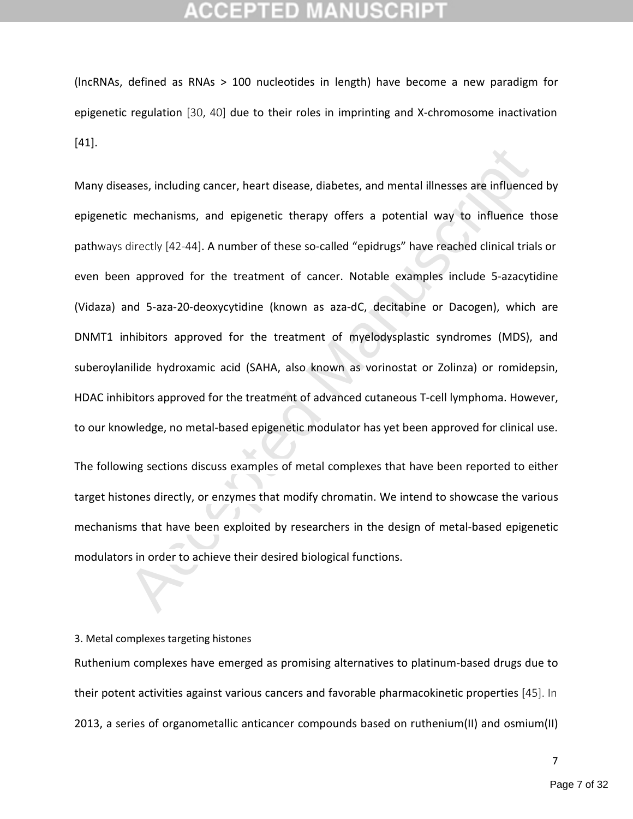## TED

(lncRNAs, defined as RNAs > 100 nucleotides in length) have become a new paradigm for epigenetic regulation [30, 40] due to their roles in imprinting and X-chromosome inactivation [41].

rases, including cancer, heart disease, diabetes, and mental illnesses are influence<br>
c mechanisms, and epigenetic therapy offers a potential way to influence the<br>
directly [42-44]. A number of these so-called "epidrugs" h Many diseases, including cancer, heart disease, diabetes, and mental illnesses are influenced by epigenetic mechanisms, and epigenetic therapy offers a potential way to influence those pathways directly [42-44]. A number of these so-called "epidrugs" have reached clinical trials or even been approved for the treatment of cancer. Notable examples include 5-azacytidine (Vidaza) and 5-aza-20-deoxycytidine (known as aza-dC, decitabine or Dacogen), which are DNMT1 inhibitors approved for the treatment of myelodysplastic syndromes (MDS), and suberoylanilide hydroxamic acid (SAHA, also known as vorinostat or Zolinza) or romidepsin, HDAC inhibitors approved for the treatment of advanced cutaneous T-cell lymphoma. However, to our knowledge, no metal-based epigenetic modulator has yet been approved for clinical use.

The following sections discuss examples of metal complexes that have been reported to either target histones directly, or enzymes that modify chromatin. We intend to showcase the various mechanisms that have been exploited by researchers in the design of metal-based epigenetic modulators in order to achieve their desired biological functions.

### 3. Metal complexes targeting histones

Ruthenium complexes have emerged as promising alternatives to platinum-based drugs due to their potent activities against various cancers and favorable pharmacokinetic properties [45]. In 2013, a series of organometallic anticancer compounds based on ruthenium(II) and osmium(II)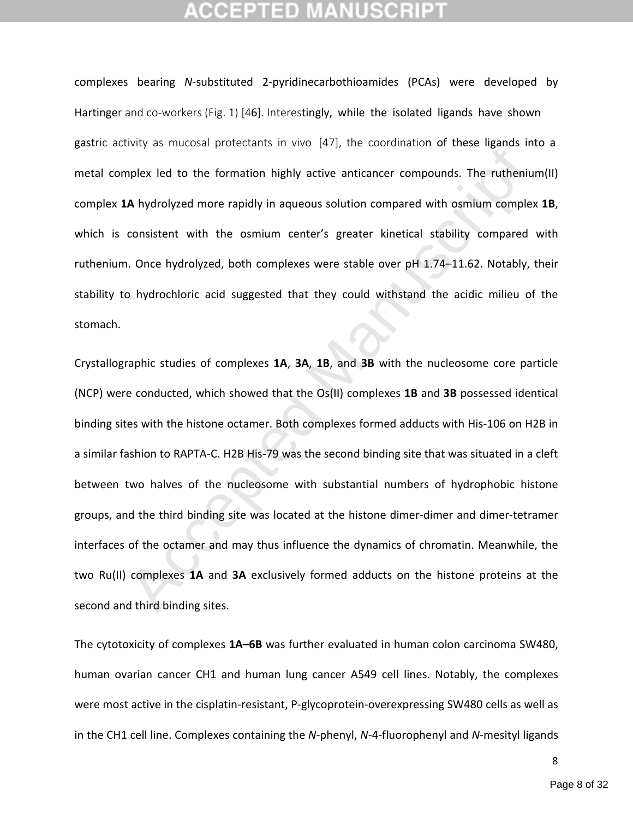complexes bearing *N*-substituted 2-pyridinecarbothioamides (PCAs) were developed by Hartinger and co-workers (Fig. 1) [46]. Interestingly, while the isolated ligands have shown gastric activity as mucosal protectants in vivo [47], the coordination of these ligands into a metal complex led to the formation highly active anticancer compounds. The ruthenium(II) complex **1A** hydrolyzed more rapidly in aqueous solution compared with osmium complex **1B**, which is consistent with the osmium center's greater kinetical stability compared with ruthenium. Once hydrolyzed, both complexes were stable over pH 1.74–11.62. Notably, their stability to hydrochloric acid suggested that they could withstand the acidic milieu of the stomach.

EVALUATE THE THE CONTROLLED INTO THE THE INTERNATION CONTROLLED THE CONTROLLED THE PROPORTION INCIDENT UP IN THE THE THE THE THE THE THE THE THE CONTROLLED THE THE THE CONTROLLED CONTROLLED CONTROLLED CONTROLLED CONTROLLED Crystallographic studies of complexes **1A**, **3A**, **1B**, and **3B** with the nucleosome core particle (NCP) were conducted, which showed that the Os(II) complexes **1B** and **3B** possessed identical binding sites with the histone octamer. Both complexes formed adducts with His-106 on H2B in a similar fashion to RAPTA-C. H2B His-79 was the second binding site that was situated in a cleft between two halves of the nucleosome with substantial numbers of hydrophobic histone groups, and the third binding site was located at the histone dimer-dimer and dimer-tetramer interfaces of the octamer and may thus influence the dynamics of chromatin. Meanwhile, the two Ru(II) complexes **1A** and **3A** exclusively formed adducts on the histone proteins at the second and third binding sites.

The cytotoxicity of complexes **1A**–**6B** was further evaluated in human colon carcinoma SW480, human ovarian cancer CH1 and human lung cancer A549 cell lines. Notably, the complexes were most active in the cisplatin-resistant, P-glycoprotein-overexpressing SW480 cells as well as in the CH1 cell line. Complexes containing the *N*-phenyl, *N*-4-fluorophenyl and *N*-mesityl ligands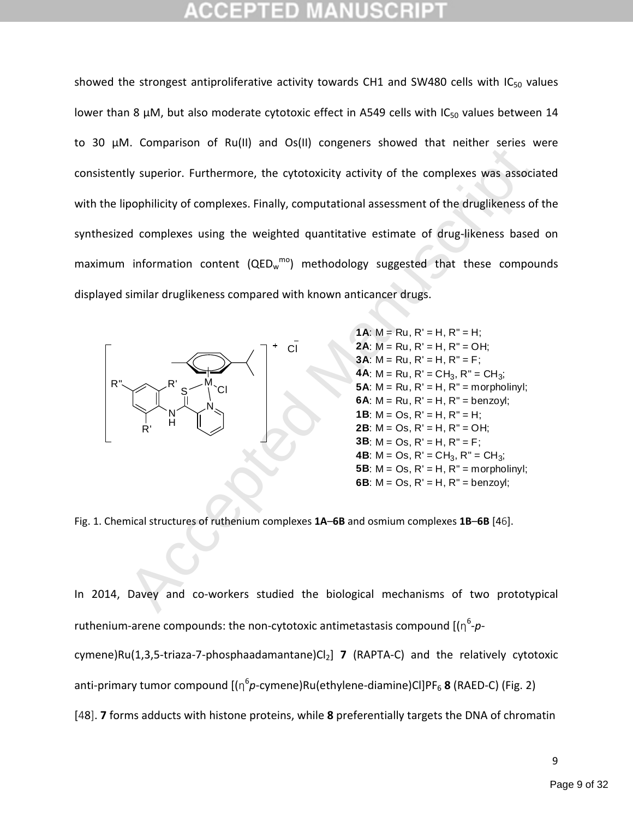Accept to the stretch structures of numeric structures of the stretch structures of the stretch structures and complexes. Finally, computational assessment of the druglikeness of exponential of complexes using the weighte showed the strongest antiproliferative activity towards CH1 and SW480 cells with  $IC_{50}$  values lower than 8  $\mu$ M, but also moderate cytotoxic effect in A549 cells with IC<sub>50</sub> values between 14 to 30 µM. Comparison of Ru(II) and Os(II) congeners showed that neither series were consistently superior. Furthermore, the cytotoxicity activity of the complexes was associated with the lipophilicity of complexes. Finally, computational assessment of the druglikeness of the synthesized complexes using the weighted quantitative estimate of drug-likeness based on maximum information content (QEDw<sup>mo</sup>) methodology suggested that these compounds displayed similar druglikeness compared with known anticancer drugs.



**1A:**  $M = Ru$ ,  $R' = H$ ,  $R'' = H$ ; **2A**: M = Ru, R' = H, R" = OH; **3A:**  $M = Ru$ ,  $R' = H$ ,  $R'' = F$ ; **4A**:  $M = Ru$ ,  $R' = CH_3$ ,  $R'' = CH_3$ ; **5A**:  $M = Ru$ ,  $R' = H$ ,  $R'' = morpholiny!$ ; **6A**:  $M = Ru$ ,  $R' = H$ ,  $R'' = benzoyl$ ; **1B**:  $M = Os$ ,  $R' = H$ ,  $R'' = H$ ; **2B:**  $M = Os$ ,  $R' = H$ ,  $R'' = OH$ ; **3B**:  $M = Os$ ,  $R' = H$ ,  $R'' = F$ ; **4B**:  $M = Os$ ,  $R' = CH_3$ ,  $R'' = CH_3$ ; **5B**:  $M = Os$ ,  $R' = H$ ,  $R'' = morpholinyl$ ; **6B**:  $M = Os$ ,  $R' = H$ ,  $R'' = benzoyl$ ;

Fig. 1. Chemical structures of ruthenium complexes **1A**–**6B** and osmium complexes **1B**–**6B** [46].

In 2014, Davey and co-workers studied the biological mechanisms of two prototypical ruthenium-arene compounds: the non-cytotoxic antimetastasis compound [(η 6 -*p*cymene)Ru(1,3,5-triaza-7-phosphaadamantane)Cl<sub>2</sub>] 7 (RAPTA-C) and the relatively cytotoxic anti-primary tumor compound [(η 6 *p*-cymene)Ru(ethylene-diamine)Cl]PF<sup>6</sup> **8** (RAED-C) (Fig. 2) [48]. **7** forms adducts with histone proteins, while **8** preferentially targets the DNA of chromatin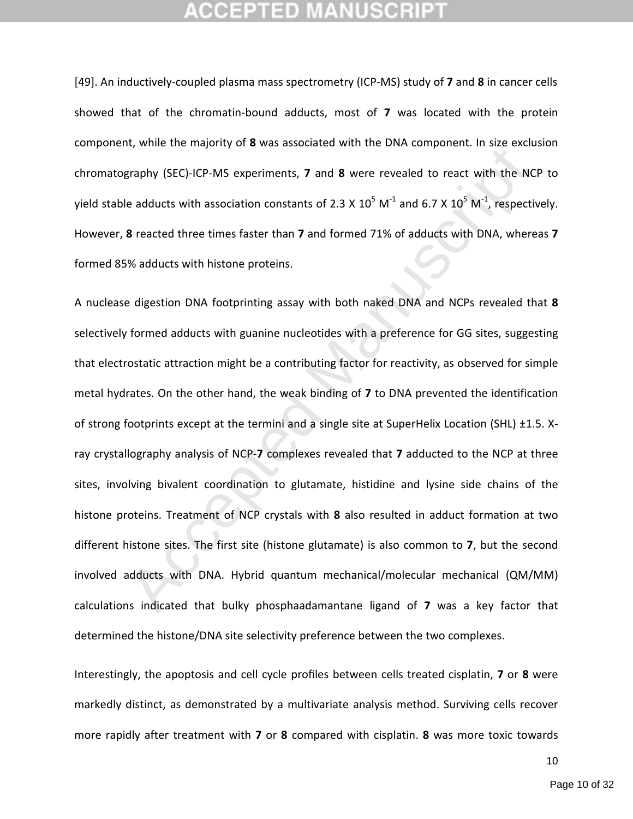[49]. An inductively-coupled plasma mass spectrometry (ICP-MS) study of **7** and **8** in cancer cells showed that of the chromatin-bound adducts, most of **7** was located with the protein component, while the majority of **8** was associated with the DNA component. In size exclusion chromatography (SEC)-ICP-MS experiments, **7** and **8** were revealed to react with the NCP to yield stable adducts with association constants of 2.3 X 10<sup>5</sup> M<sup>-1</sup> and 6.7 X 10<sup>5</sup> M<sup>-1</sup>, respectively. However, **8** reacted three times faster than **7** and formed 71% of adducts with DNA, whereas **7** formed 85% adducts with histone proteins.

r, when the majority of **o** tasts associated which the overestigraphy (SEC)-ICP-MS experiments, 7 and 8 were revealed to react with the NC<br>e adducts with association constants of 2.3 x 10<sup>5</sup> M<sup>-1</sup> and 6.7 x 10<sup>5</sup> M<sup>-1</sup>, re A nuclease digestion DNA footprinting assay with both naked DNA and NCPs revealed that **8** selectively formed adducts with guanine nucleotides with a preference for GG sites, suggesting that electrostatic attraction might be a contributing factor for reactivity, as observed for simple metal hydrates. On the other hand, the weak binding of **7** to DNA prevented the identification of strong footprints except at the termini and a single site at SuperHelix Location (SHL) ±1.5. Xray crystallography analysis of NCP-**7** complexes revealed that **7** adducted to the NCP at three sites, involving bivalent coordination to glutamate, histidine and lysine side chains of the histone proteins. Treatment of NCP crystals with **8** also resulted in adduct formation at two different histone sites. The first site (histone glutamate) is also common to **7**, but the second involved adducts with DNA. Hybrid quantum mechanical/molecular mechanical (QM/MM) calculations indicated that bulky phosphaadamantane ligand of **7** was a key factor that determined the histone/DNA site selectivity preference between the two complexes.

Interestingly, the apoptosis and cell cycle profiles between cells treated cisplatin, **7** or **8** were markedly distinct, as demonstrated by a multivariate analysis method. Surviving cells recover more rapidly after treatment with **7** or **8** compared with cisplatin. **8** was more toxic towards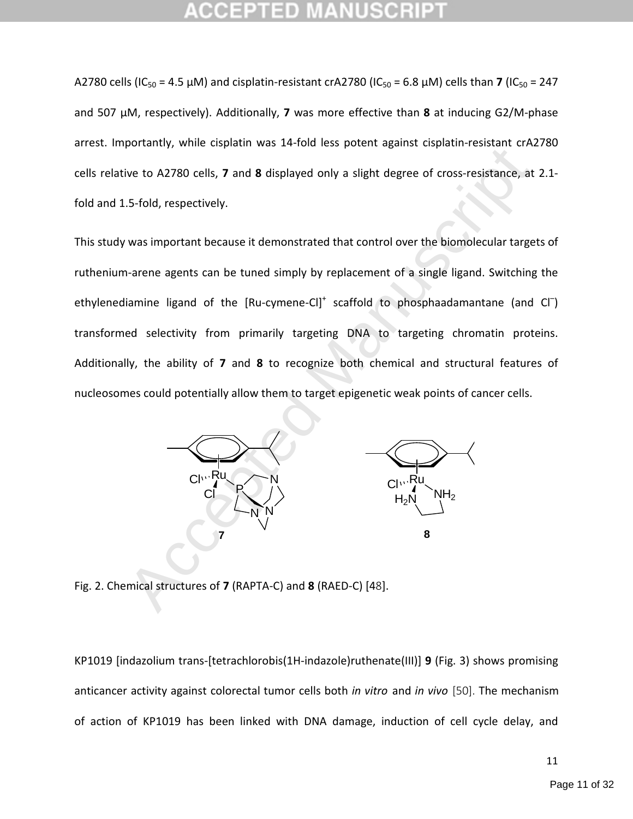A2780 cells (IC<sub>50</sub> = 4.5 µM) and cisplatin-resistant crA2780 (IC<sub>50</sub> = 6.8 µM) cells than **7** (IC<sub>50</sub> = 247 and 507 µM, respectively). Additionally, **7** was more effective than **8** at inducing G2/M-phase arrest. Importantly, while cisplatin was 14-fold less potent against cisplatin-resistant crA2780 cells relative to A2780 cells, **7** and **8** displayed only a slight degree of cross-resistance, at 2.1 fold and 1.5-fold, respectively.

Botanicy, where copies and 8 displayed only a slight degree of cross-resistance, at<br>two to A2780 cells, 7 and 8 displayed only a slight degree of cross-resistance, at<br>5-fold, respectively.<br>Was important because it demonstr This study was important because it demonstrated that control over the biomolecular targets of ruthenium-arene agents can be tuned simply by replacement of a single ligand. Switching the ethylenediamine ligand of the [Ru-cymene-Cl]<sup>+</sup> scaffold to phosphaadamantane (and Cl<sup>-</sup>) transformed selectivity from primarily targeting DNA to targeting chromatin proteins. Additionally, the ability of **7** and **8** to recognize both chemical and structural features of nucleosomes could potentially allow them to target epigenetic weak points of cancer cells.



Fig. 2. Chemical structures of **7** (RAPTA-C) and **8** (RAED-C) [48].

KP1019 [indazolium trans-[tetrachlorobis(1H-indazole)ruthenate(III)] **9** (Fig. 3) shows promising anticancer activity against colorectal tumor cells both *in vitro* and *in vivo* [50]. The mechanism of action of KP1019 has been linked with DNA damage, induction of cell cycle delay, and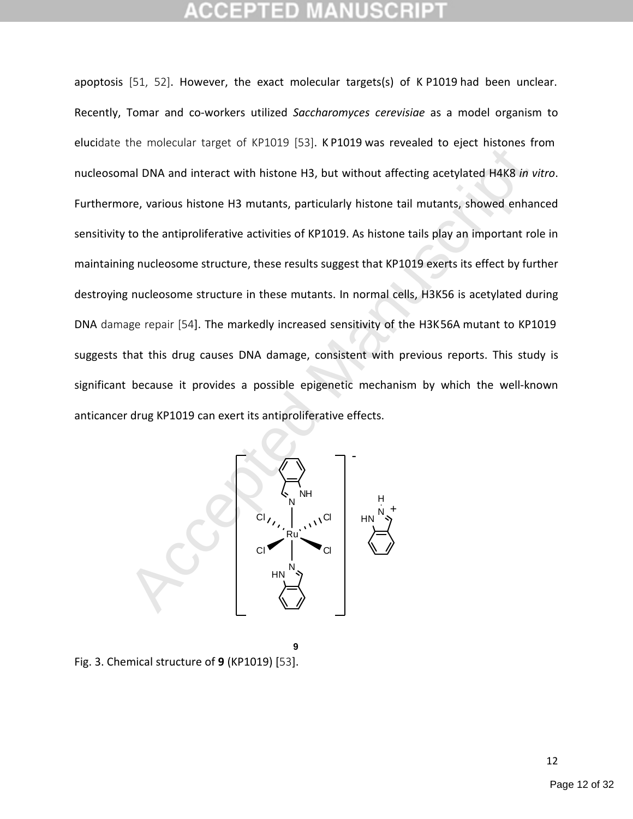Accept the molecular target of MPTEF 1591 MTEE May be distributed to give missions in<br>all DNA and interact with histone H3, but without affecting acetylated H4K8 in v<br>ore, various histone H3 mutants, particularly histone apoptosis [51, 52]. However, the exact molecular targets(s) of K P1019 had been unclear. Recently, Tomar and co-workers utilized *Saccharomyces cerevisiae* as a model organism to elucidate the molecular target of KP1019 [53]. KP1019 was revealed to eject histones from nucleosomal DNA and interact with histone H3, but without affecting acetylated H4K8 *in vitro*. Furthermore, various histone H3 mutants, particularly histone tail mutants, showed enhanced sensitivity to the antiproliferative activities of KP1019. As histone tails play an important role in maintaining nucleosome structure, these results suggest that KP1019 exerts its effect by further destroying nucleosome structure in these mutants. In normal cells, H3K56 is acetylated during DNA damage repair [54]. The markedly increased sensitivity of the H3K56A mutant to KP1019 suggests that this drug causes DNA damage, consistent with previous reports. This study is significant because it provides a possible epigenetic mechanism by which the well-known anticancer drug KP1019 can exert its antiproliferative effects.



**9** Fig. 3. Chemical structure of **9** (KP1019) [53].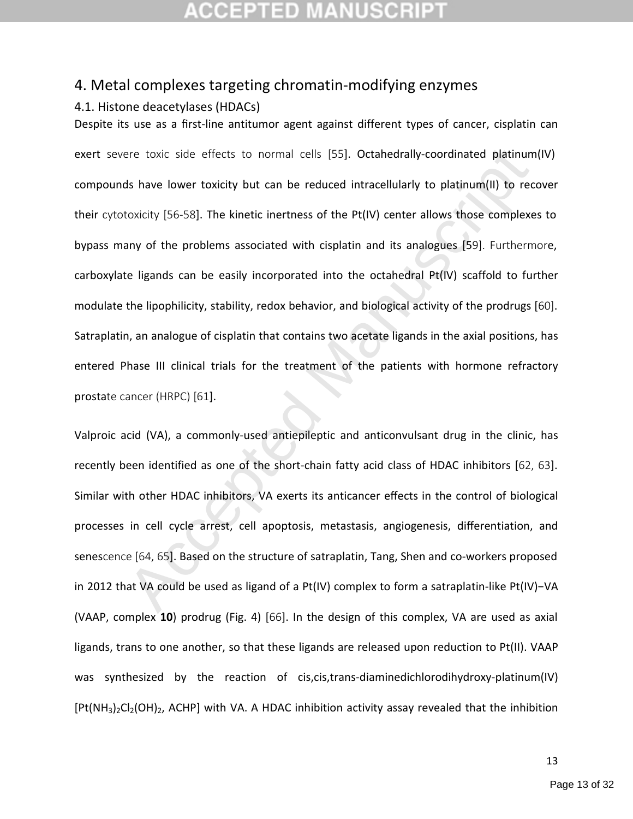# TED

### 4. Metal complexes targeting chromatin-modifying enzymes

### 4.1. Histone deacetylases (HDACs)

ere toxic side effects to normal cells [55]. Octahedrally-coordinated platinum<br>
Is have lower toxicity but can be reduced intracellularly to platinum(II) to rec<br>
toxicity [56-58]. The kinetic inertness of the Pt(IV) center Despite its use as a first-line antitumor agent against different types of cancer, cisplatin can exert severe toxic side effects to normal cells [55]. Octahedrally-coordinated platinum(IV) compounds have lower toxicity but can be reduced intracellularly to platinum(II) to recover their cytotoxicity [56-58]. The kinetic inertness of the Pt(IV) center allows those complexes to bypass many of the problems associated with cisplatin and its analogues [59]. Furthermore, carboxylate ligands can be easily incorporated into the octahedral Pt(IV) scaffold to further modulate the lipophilicity, stability, redox behavior, and biological activity of the prodrugs [60]. Satraplatin, an analogue of cisplatin that contains two acetate ligands in the axial positions, has entered Phase III clinical trials for the treatment of the patients with hormone refractory prostate cancer (HRPC) [61].

Valproic acid (VA), a commonly-used antiepileptic and anticonvulsant drug in the clinic, has recently been identified as one of the short-chain fatty acid class of HDAC inhibitors [62, 63]. Similar with other HDAC inhibitors, VA exerts its anticancer effects in the control of biological processes in cell cycle arrest, cell apoptosis, metastasis, angiogenesis, differentiation, and senescence [64, 65]. Based on the structure of satraplatin, Tang, Shen and co-workers proposed in 2012 that VA could be used as ligand of a Pt(IV) complex to form a satraplatin-like Pt(IV)−VA (VAAP, complex **10**) prodrug (Fig. 4) [66]. In the design of this complex, VA are used as axial ligands, trans to one another, so that these ligands are released upon reduction to Pt(II). VAAP was synthesized by the reaction of cis,cis,trans-diaminedichlorodihydroxy-platinum(IV)  $[Pt(NH<sub>3</sub>)<sub>2</sub>Cl<sub>2</sub>(OH)<sub>2</sub>$ , ACHP] with VA. A HDAC inhibition activity assay revealed that the inhibition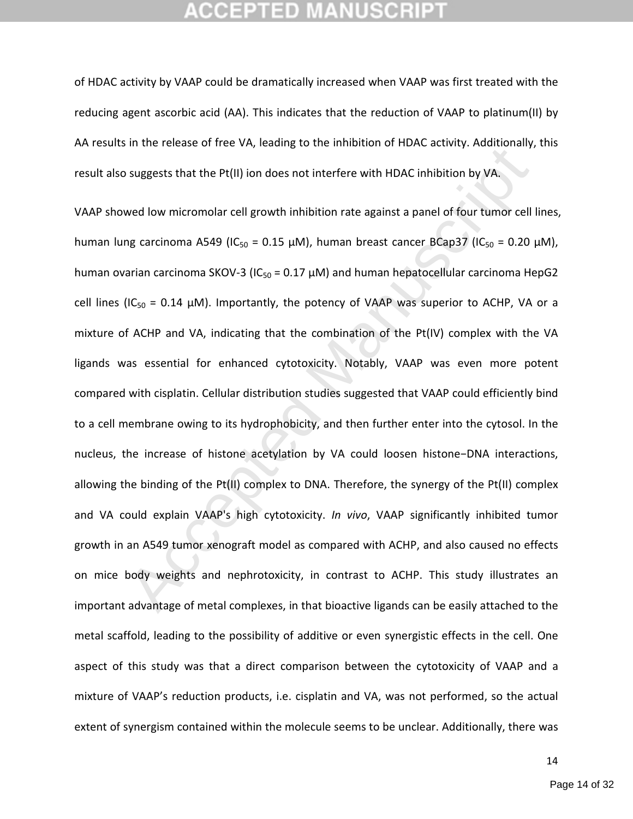## GEPTED

of HDAC activity by VAAP could be dramatically increased when VAAP was first treated with the reducing agent ascorbic acid (AA). This indicates that the reduction of VAAP to platinum(II) by AA results in the release of free VA, leading to the inhibition of HDAC activity. Additionally, this result also suggests that the Pt(II) ion does not interfere with HDAC inhibition by VA.

In the telectoc of the Pry, Icading to the initiation of HDAC detrity, Maditohany,<br>suggests that the Pt(II) ion does not interfere with HDAC inhibition by VA<sub>i</sub>.<br>Wed low micromolar cell growth inhibition rate against a pa VAAP showed low micromolar cell growth inhibition rate against a panel of four tumor cell lines, human lung carcinoma A549 (IC<sub>50</sub> = 0.15 µM), human breast cancer BCap37 (IC<sub>50</sub> = 0.20 µM), human ovarian carcinoma SKOV-3 (IC<sub>50</sub> = 0.17  $\mu$ M) and human hepatocellular carcinoma HepG2 cell lines (IC<sub>50</sub> = 0.14  $\mu$ M). Importantly, the potency of VAAP was superior to ACHP, VA or a mixture of ACHP and VA, indicating that the combination of the Pt(IV) complex with the VA ligands was essential for enhanced cytotoxicity. Notably, VAAP was even more potent compared with cisplatin. Cellular distribution studies suggested that VAAP could efficiently bind to a cell membrane owing to its hydrophobicity, and then further enter into the cytosol. In the nucleus, the increase of histone acetylation by VA could loosen histone−DNA interactions, allowing the binding of the Pt(II) complex to DNA. Therefore, the synergy of the Pt(II) complex and VA could explain VAAP's high cytotoxicity. *In vivo*, VAAP significantly inhibited tumor growth in an A549 tumor xenograft model as compared with ACHP, and also caused no effects on mice body weights and nephrotoxicity, in contrast to ACHP. This study illustrates an important advantage of metal complexes, in that bioactive ligands can be easily attached to the metal scaffold, leading to the possibility of additive or even synergistic effects in the cell. One aspect of this study was that a direct comparison between the cytotoxicity of VAAP and a mixture of VAAP's reduction products, i.e. cisplatin and VA, was not performed, so the actual extent of synergism contained within the molecule seems to be unclear. Additionally, there was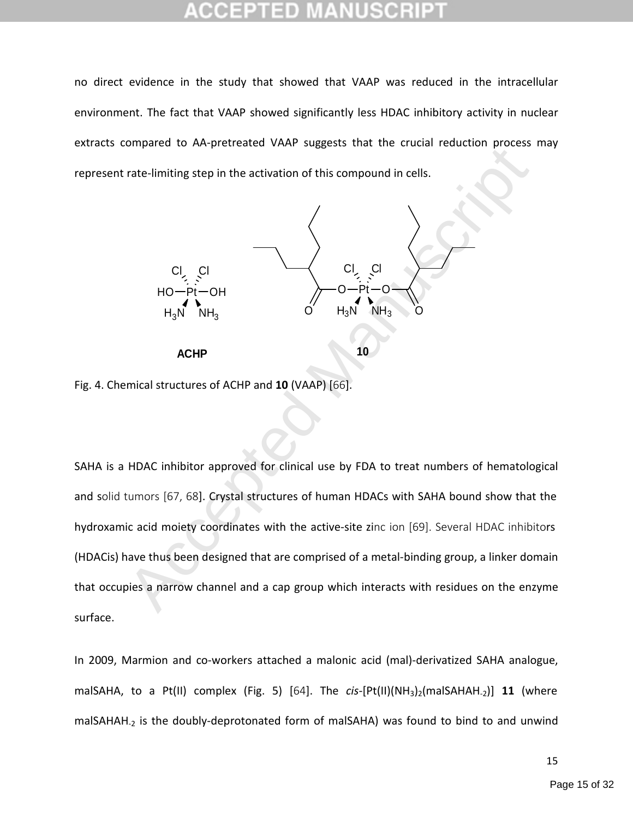no direct evidence in the study that showed that VAAP was reduced in the intracellular environment. The fact that VAAP showed significantly less HDAC inhibitory activity in nuclear extracts compared to AA-pretreated VAAP suggests that the crucial reduction process may represent rate-limiting step in the activation of this compound in cells.



Fig. 4. Chemical structures of ACHP and **10** (VAAP) [66].

SAHA is a HDAC inhibitor approved for clinical use by FDA to treat numbers of hematological and solid tumors [67, 68]. Crystal structures of human HDACs with SAHA bound show that the hydroxamic acid moiety coordinates with the active-site zinc ion [69]. Several HDAC inhibitors (HDACis) have thus been designed that are comprised of a metal-binding group, a linker domain that occupies a narrow channel and a cap group which interacts with residues on the enzyme surface.

In 2009, Marmion and co-workers attached a malonic acid (mal)-derivatized SAHA analogue, malSAHA, to a Pt(II) complex (Fig. 5) [64]. The *cis*-[Pt(II)(NH<sub>3</sub>)<sub>2</sub>(malSAHAH<sub>-2</sub>)] **11** (where malSAHAH<sub>-2</sub> is the doubly-deprotonated form of malSAHA) was found to bind to and unwind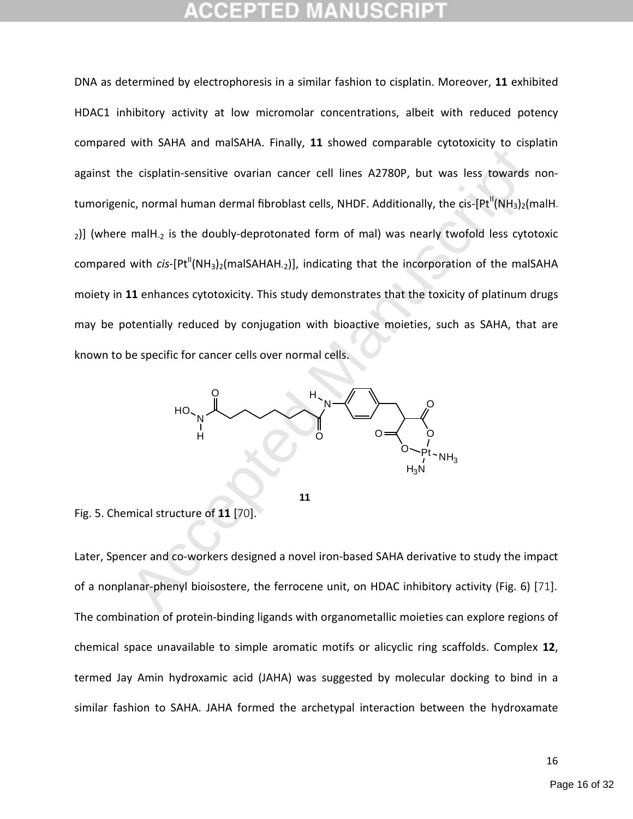The burst and materials intering the acceptance effects of the complements of the complements of the complements of the complements of the complements of the manuscript (NH<sub>3</sub>)<sub>2</sub>(m mallH<sub>2</sub> is the doubly-deprotonated for DNA as determined by electrophoresis in a similar fashion to cisplatin. Moreover, **11** exhibited HDAC1 inhibitory activity at low micromolar concentrations, albeit with reduced potency compared with SAHA and malSAHA. Finally, **11** showed comparable cytotoxicity to cisplatin against the cisplatin-sensitive ovarian cancer cell lines A2780P, but was less towards nontumorigenic, normal human dermal fibroblast cells, NHDF. Additionally, the cis- $[Pt^{II}(NH<sub>3</sub>)<sub>2</sub>(malH<sub>-</sub>]$  $_{2}$ ] (where malH<sub>-2</sub> is the doubly-deprotonated form of mal) was nearly twofold less cytotoxic compared with *cis*-[Pt<sup>II</sup>(NH<sub>3</sub>)<sub>2</sub>(maISAHAH<sub>-2</sub>)], indicating that the incorporation of the maISAHA moiety in **11** enhances cytotoxicity. This study demonstrates that the toxicity of platinum drugs may be potentially reduced by conjugation with bioactive moieties, such as SAHA, that are known to be specific for cancer cells over normal cells.



**11**

Fig. 5. Chemical structure of **11** [70].

Later, Spencer and co-workers designed a novel iron-based SAHA derivative to study the impact of a nonplanar-phenyl bioisostere, the ferrocene unit, on HDAC inhibitory activity (Fig. 6) [71]. The combination of protein-binding ligands with organometallic moieties can explore regions of chemical space unavailable to simple aromatic motifs or alicyclic ring scaffolds. Complex **12**, termed Jay Amin hydroxamic acid (JAHA) was suggested by molecular docking to bind in a similar fashion to SAHA. JAHA formed the archetypal interaction between the hydroxamate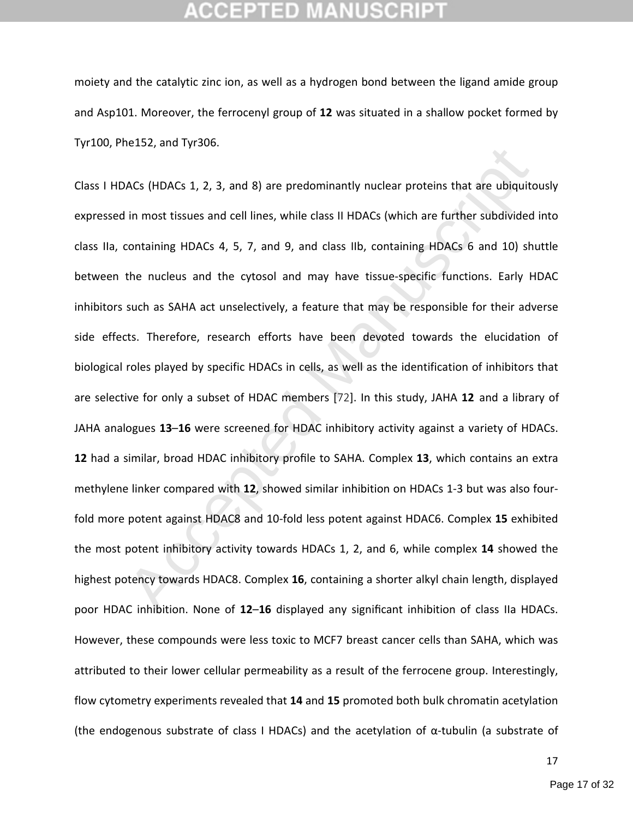moiety and the catalytic zinc ion, as well as a hydrogen bond between the ligand amide group and Asp101. Moreover, the ferrocenyl group of **12** was situated in a shallow pocket formed by Tyr100, Phe152, and Tyr306.

ACs (HDACs 1, 2, 3, and 8) are predominantly nuclear proteins that are ubiquite<br>
in most tissues and cell lines, while class II HDACs (which are further subdivided<br>
containing HDACs 4, 5, 7, and 9, and class IIb, containin Class I HDACs (HDACs 1, 2, 3, and 8) are predominantly nuclear proteins that are ubiquitously expressed in most tissues and cell lines, while class II HDACs (which are further subdivided into class IIa, containing HDACs 4, 5, 7, and 9, and class IIb, containing HDACs 6 and 10) shuttle between the nucleus and the cytosol and may have tissue-specific functions. Early HDAC inhibitors such as SAHA act unselectively, a feature that may be responsible for their adverse side effects. Therefore, research efforts have been devoted towards the elucidation of biological roles played by specific HDACs in cells, as well as the identification of inhibitors that are selective for only a subset of HDAC members [72]. In this study, JAHA **12** and a library of JAHA analogues **13**–**16** were screened for HDAC inhibitory activity against a variety of HDACs. **12** had a similar, broad HDAC inhibitory profile to SAHA. Complex **13**, which contains an extra methylene linker compared with **12**, showed similar inhibition on HDACs 1-3 but was also fourfold more potent against HDAC8 and 10-fold less potent against HDAC6. Complex **15** exhibited the most potent inhibitory activity towards HDACs 1, 2, and 6, while complex **14** showed the highest potency towards HDAC8. Complex **16**, containing a shorter alkyl chain length, displayed poor HDAC inhibition. None of **12**–**16** displayed any significant inhibition of class IIa HDACs. However, these compounds were less toxic to MCF7 breast cancer cells than SAHA, which was attributed to their lower cellular permeability as a result of the ferrocene group. Interestingly, flow cytometry experiments revealed that **14** and **15** promoted both bulk chromatin acetylation (the endogenous substrate of class I HDACs) and the acetylation of α-tubulin (a substrate of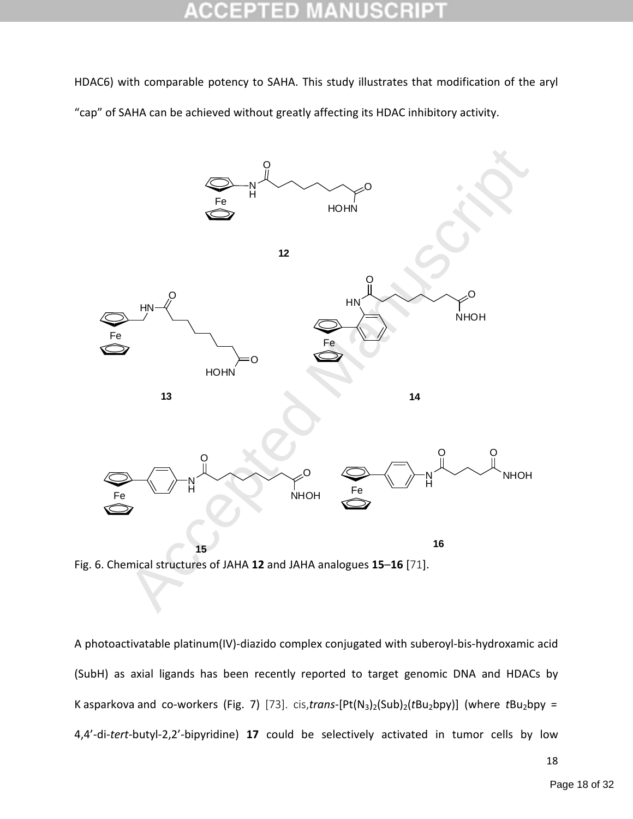HDAC6) with comparable potency to SAHA. This study illustrates that modification of the aryl "cap" of SAHA can be achieved without greatly affecting its HDAC inhibitory activity.



Fig. 6. Chemical structures of JAHA **12** and JAHA analogues **15**–**16** [71].

A photoactivatable platinum(IV)-diazido complex conjugated with suberoyl-bis-hydroxamic acid (SubH) as axial ligands has been recently reported to target genomic DNA and HDACs by K asparkova and co-workers (Fig. 7) [73]. cis,*trans*-[Pt(N<sub>3</sub>)<sub>2</sub>(Sub)<sub>2</sub>( $tBu_2bpy$ )] (where  $tBu_2bpy$  = 4,4'-di-*tert*-butyl-2,2'-bipyridine) **17** could be selectively activated in tumor cells by low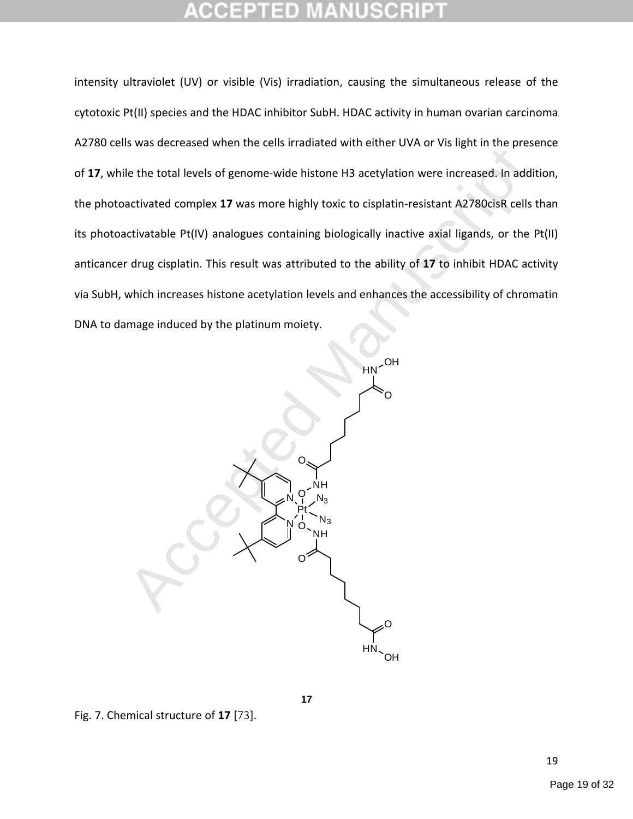intensity ultraviolet (UV) or visible (Vis) irradiation, causing the simultaneous release of the cytotoxic Pt(II) species and the HDAC inhibitor SubH. HDAC activity in human ovarian carcinoma A2780 cells was decreased when the cells irradiated with either UVA or Vis light in the presence of **17**, while the total levels of genome-wide histone H3 acetylation were increased. In addition, the photoactivated complex **17** was more highly toxic to cisplatin-resistant A2780cisR cells than its photoactivatable Pt(IV) analogues containing biologically inactive axial ligands, or the Pt(II) anticancer drug cisplatin. This result was attributed to the ability of **17** to inhibit HDAC activity via SubH, which increases histone acetylation levels and enhances the accessibility of chromatin DNA to damage induced by the platinum moiety.



**17**

Fig. 7. Chemical structure of **17** [73].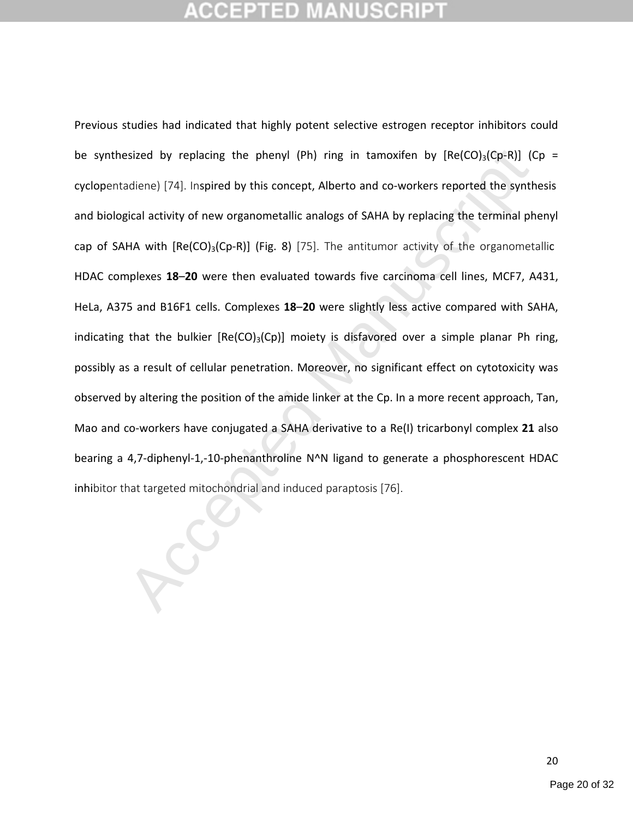# **CCEPTED MANUSCR**

esized by replacing the phenyl (Ph) ring in tamoxifen by  $[Re(CO)_3(Cp-R)]$  (C<br>diene) [74]. Inspired by this concept, Alberto and co-workers reported the synth<br>gical activity of new organometallic analogs of SAHA by replacing t Previous studies had indicated that highly potent selective estrogen receptor inhibitors could be synthesized by replacing the phenyl (Ph) ring in tamoxifen by  $[Re(CO)<sub>3</sub>(Cp-R)]$  (Cp = cyclopentadiene) [74]. Inspired by this concept, Alberto and co-workers reported the synthesis and biological activity of new organometallic analogs of SAHA by replacing the terminal phenyl cap of SAHA with  $[Re(CO)<sub>3</sub>(Cp-R)]$  (Fig. 8) [75]. The antitumor activity of the organometallic HDAC complexes **18**–**20** were then evaluated towards five carcinoma cell lines, MCF7, A431, HeLa, A375 and B16F1 cells. Complexes **18**–**20** were slightly less active compared with SAHA, indicating that the bulkier  $[Re(CO)<sub>3</sub>(Cp)]$  moiety is disfavored over a simple planar Ph ring, possibly as a result of cellular penetration. Moreover, no significant effect on cytotoxicity was observed by altering the position of the amide linker at the Cp. In a more recent approach, Tan, Mao and co-workers have conjugated a SAHA derivative to a Re(I) tricarbonyl complex **21** also bearing a 4,7-diphenyl-1,-10-phenanthroline N^N ligand to generate a phosphorescent HDAC inhibitor that targeted mitochondrial and induced paraptosis [76].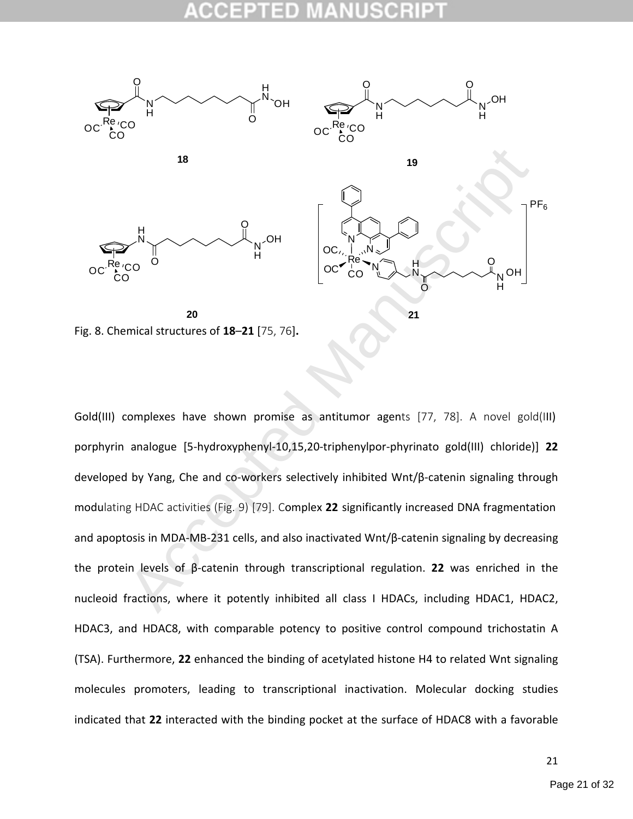

Fig. 8. Chemical structures of **18**–**21** [75, 76]**.**

19<br>
Acco of 0<br>
Acco of 18–21 [75, 76].<br>
Acco of 18–21 [75, 76].<br>
Acco of 18–21 [75, 76].<br>
Acco of 18–21 [75, 76].<br>
<br>
Acco of 18–21 [75, 76].<br>
<br>
Acco of  $\frac{1}{2}$ <br>
<br>
Acco  $\frac{1}{2}$ <br>
<br>
Acco  $\frac{1}{2}$ <br>
<br>
Acco  $\frac{1}{2}$ <br>
<br>
Ac Gold(III) complexes have shown promise as antitumor agents [77, 78]. A novel gold(III) porphyrin analogue [5-hydroxyphenyl-10,15,20-triphenylpor-phyrinato gold(III) chloride)] **22** developed by Yang, Che and co-workers selectively inhibited Wnt/β-catenin signaling through modulating HDAC activities (Fig. 9) [79]. Complex **22** significantly increased DNA fragmentation and apoptosis in MDA-MB-231 cells, and also inactivated Wnt/β-catenin signaling by decreasing the protein levels of β-catenin through transcriptional regulation. **22** was enriched in the nucleoid fractions, where it potently inhibited all class I HDACs, including HDAC1, HDAC2, HDAC3, and HDAC8, with comparable potency to positive control compound trichostatin A (TSA). Furthermore, **22** enhanced the binding of acetylated histone H4 to related Wnt signaling molecules promoters, leading to transcriptional inactivation. Molecular docking studies indicated that **22** interacted with the binding pocket at the surface of HDAC8 with a favorable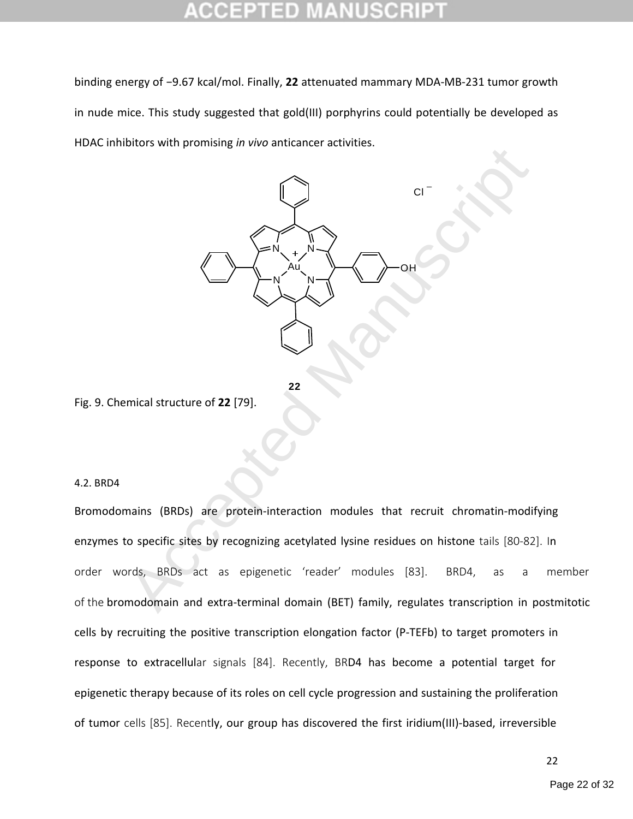binding energy of −9.67 kcal/mol. Finally, **22** attenuated mammary MDA-MB-231 tumor growth in nude mice. This study suggested that gold(III) porphyrins could potentially be developed as HDAC inhibitors with promising *in vivo* anticancer activities.



**22**

Fig. 9. Chemical structure of **22** [79].

### 4.2. BRD4

Bromodomains (BRDs) are protein-interaction modules that recruit chromatin-modifying enzymes to specific sites by recognizing acetylated lysine residues on histone tails [80-82]. In order words, BRDs act as epigenetic 'reader' modules [83]. BRD4, as a member of the bromodomain and extra-terminal domain (BET) family, regulates transcription in postmitotic cells by recruiting the positive transcription elongation factor (P-TEFb) to target promoters in response to extracellular signals [84]. Recently, BRD4 has become a potential target for epigenetic therapy because of its roles on cell cycle progression and sustaining the proliferation of tumor cells [85]. Recently, our group has discovered the first iridium(III)-based, irreversible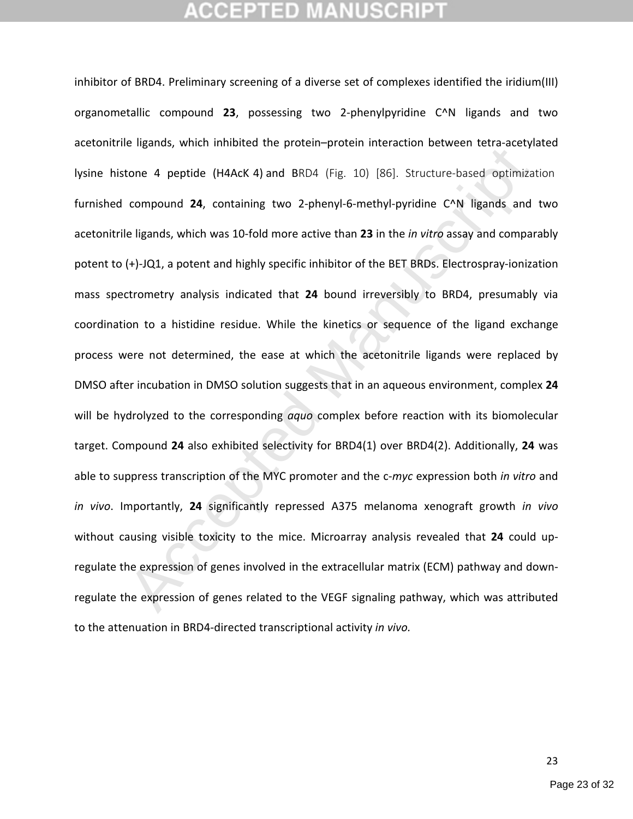Let us a strate in the procent potent included in the determinant of the expression of a period optimize compound 24, containing two 2-phenyl-6-methyl-pyridine C^N ligands and le ligands, which was 10-fold more active than inhibitor of BRD4. Preliminary screening of a diverse set of complexes identified the iridium(III) organometallic compound **23**, possessing two 2-phenylpyridine C^N ligands and two acetonitrile ligands, which inhibited the protein–protein interaction between tetra-acetylated lysine histone 4 peptide (H4AcK4) and BRD4 (Fig. 10) [86]. Structure-based optimization furnished compound **24**, containing two 2-phenyl-6-methyl-pyridine C^N ligands and two acetonitrile ligands, which was 10-fold more active than **23** in the *in vitro* assay and comparably potent to (+)-JQ1, a potent and highly specific inhibitor of the BET BRDs. Electrospray-ionization mass spectrometry analysis indicated that **24** bound irreversibly to BRD4, presumably via coordination to a histidine residue. While the kinetics or sequence of the ligand exchange process were not determined, the ease at which the acetonitrile ligands were replaced by DMSO after incubation in DMSO solution suggests that in an aqueous environment, complex **24** will be hydrolyzed to the corresponding *aquo* complex before reaction with its biomolecular target. Compound **24** also exhibited selectivity for BRD4(1) over BRD4(2). Additionally, **24** was able to suppress transcription of the MYC promoter and the c-*myc* expression both *in vitro* and *in vivo*. Importantly, **24** significantly repressed A375 melanoma xenograft growth *in vivo* without causing visible toxicity to the mice. Microarray analysis revealed that **24** could upregulate the expression of genes involved in the extracellular matrix (ECM) pathway and downregulate the expression of genes related to the VEGF signaling pathway, which was attributed to the attenuation in BRD4-directed transcriptional activity *in vivo.*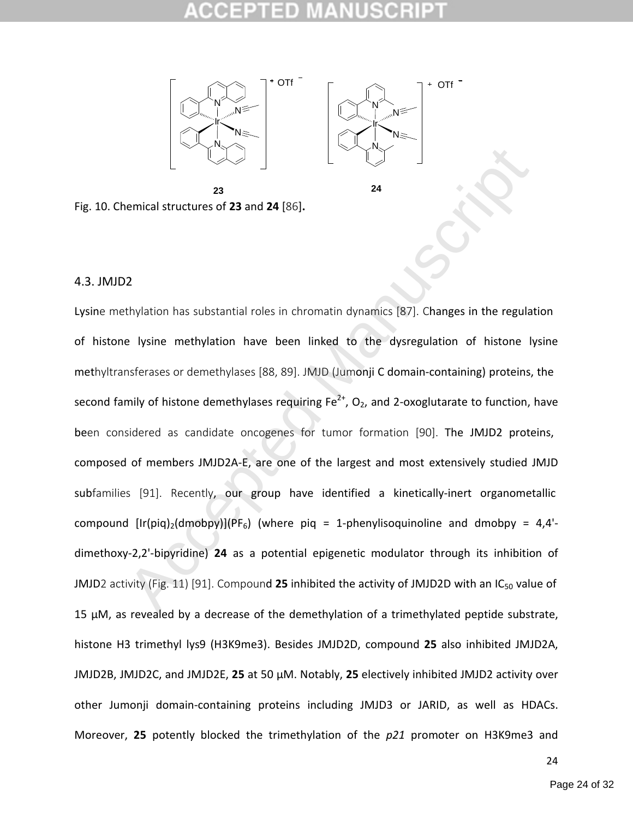



**24**



### 4.3. JMJD2

Accepted Manuscript Lysine methylation has substantial roles in chromatin dynamics [87]. Changes in the regulation of histone lysine methylation have been linked to the dysregulation of histone lysine methyltransferases or demethylases [88, 89]. JMJD (Jumonji C domain-containing) proteins, the second family of histone demethylases requiring  $Fe^{2+}$ ,  $O_2$ , and 2-oxoglutarate to function, have been considered as candidate oncogenes for tumor formation [90]. The JMJD2 proteins, composed of members JMJD2A-E, are one of the largest and most extensively studied JMJD subfamilies [91]. Recently, our group have identified a kinetically-inert organometallic compound  $[Ir(piq)<sub>2</sub>(dmoby)](PF<sub>6</sub>)$  (where piq = 1-phenylisoquinoline and dmobpy = 4,4'dimethoxy-2,2'-bipyridine) **24** as a potential epigenetic modulator through its inhibition of JMJD2 activity (Fig. 11) [91]. Compound 25 inhibited the activity of JMJD2D with an IC<sub>50</sub> value of 15 µM, as revealed by a decrease of the demethylation of a trimethylated peptide substrate, histone H3 trimethyl lys9 (H3K9me3). Besides JMJD2D, compound **25** also inhibited JMJD2A, JMJD2B, JMJD2C, and JMJD2E, **25** at 50 µM. Notably, **25** electively inhibited JMJD2 activity over other Jumonji domain-containing proteins including JMJD3 or JARID, as well as HDACs. Moreover, **25** potently blocked the trimethylation of the *p21* promoter on H3K9me3 and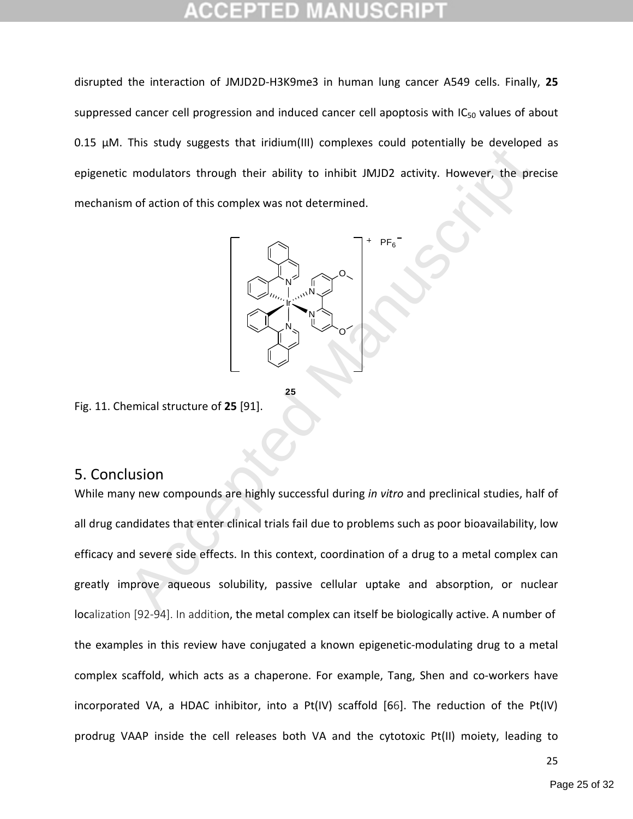disrupted the interaction of JMJD2D-H3K9me3 in human lung cancer A549 cells. Finally, **25** suppressed cancer cell progression and induced cancer cell apoptosis with  $IC_{50}$  values of about 0.15 µM. This study suggests that iridium(III) complexes could potentially be developed as epigenetic modulators through their ability to inhibit JMJD2 activity. However, the precise mechanism of action of this complex was not determined.



Fig. 11. Chemical structure of **25** [91].

### 5. Conclusion

The state of this complex was not determined.<br>
The state of this complex was not determined.<br>
The fight of this complex was not determined.<br>
The fight of this complex was not determined.<br>
The fight of this complex was not While many new compounds are highly successful during *in vitro* and preclinical studies, half of all drug candidates that enter clinical trials fail due to problems such as poor bioavailability, low efficacy and severe side effects. In this context, coordination of a drug to a metal complex can greatly improve aqueous solubility, passive cellular uptake and absorption, or nuclear localization [92-94]. In addition, the metal complex can itself be biologically active. A number of the examples in this review have conjugated a known epigenetic-modulating drug to a metal complex scaffold, which acts as a chaperone. For example, Tang, Shen and co-workers have incorporated VA, a HDAC inhibitor, into a Pt(IV) scaffold [66]. The reduction of the Pt(IV) prodrug VAAP inside the cell releases both VA and the cytotoxic Pt(II) moiety, leading to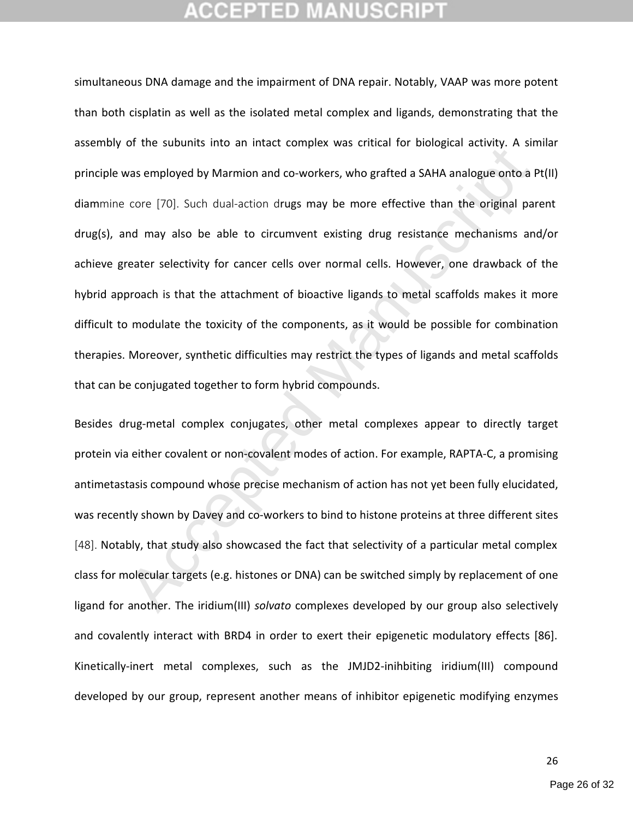or are substitute to minister complex was circled Tor Botoglech decrings in and<br>as employed by Marmion and co-workers, who grafted a SAHA analogue onto a I<br>core [70]. Such dual-action drugs may be more effective than the o simultaneous DNA damage and the impairment of DNA repair. Notably, VAAP was more potent than both cisplatin as well as the isolated metal complex and ligands, demonstrating that the assembly of the subunits into an intact complex was critical for biological activity. A similar principle was employed by Marmion and co-workers, who grafted a SAHA analogue onto a Pt(II) diammine core [70]. Such dual-action drugs may be more effective than the original parent drug(s), and may also be able to circumvent existing drug resistance mechanisms and/or achieve greater selectivity for cancer cells over normal cells. However, one drawback of the hybrid approach is that the attachment of bioactive ligands to metal scaffolds makes it more difficult to modulate the toxicity of the components, as it would be possible for combination therapies. Moreover, synthetic difficulties may restrict the types of ligands and metal scaffolds that can be conjugated together to form hybrid compounds.

Besides drug-metal complex conjugates, other metal complexes appear to directly target protein via either covalent or non-covalent modes of action. For example, RAPTA-C, a promising antimetastasis compound whose precise mechanism of action has not yet been fully elucidated, was recently shown by Davey and co-workers to bind to histone proteins at three different sites [48]. Notably, that study also showcased the fact that selectivity of a particular metal complex class for molecular targets (e.g. histones or DNA) can be switched simply by replacement of one ligand for another. The iridium(III) *solvato* complexes developed by our group also selectively and covalently interact with BRD4 in order to exert their epigenetic modulatory effects [86]. Kinetically-inert metal complexes, such as the JMJD2-inihbiting iridium(III) compound developed by our group, represent another means of inhibitor epigenetic modifying enzymes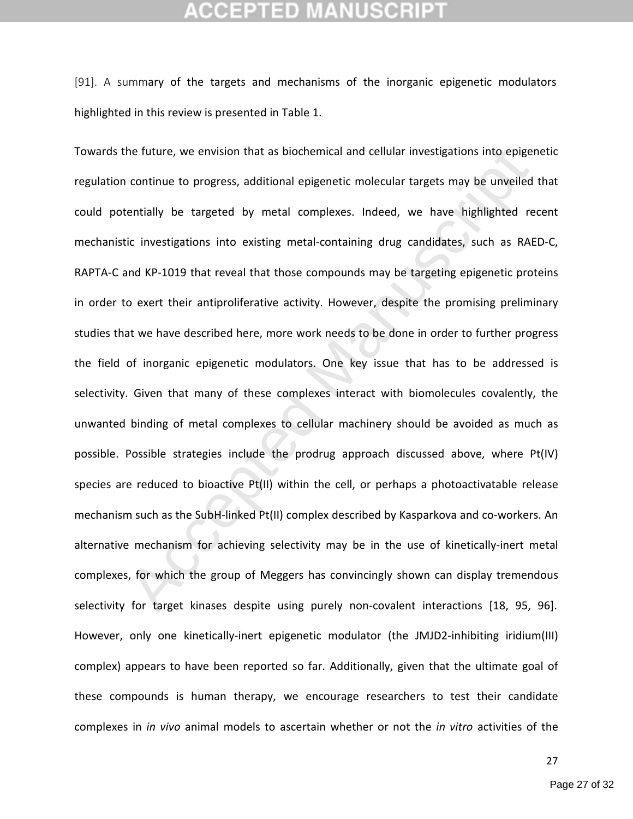## GEPTED

[91]. A summary of the targets and mechanisms of the inorganic epigenetic modulators highlighted in this review is presented in Table 1.

he future, we envision that as biochemical and cellular investigations into epiger<br>continue to progress, additional epigenetic molecular targets may be unveiled<br>tentially be targeted by metal complexes. Indeed, we have hig Towards the future, we envision that as biochemical and cellular investigations into epigenetic regulation continue to progress, additional epigenetic molecular targets may be unveiled that could potentially be targeted by metal complexes. Indeed, we have highlighted recent mechanistic investigations into existing metal-containing drug candidates, such as RAED-C, RAPTA-C and KP-1019 that reveal that those compounds may be targeting epigenetic proteins in order to exert their antiproliferative activity. However, despite the promising preliminary studies that we have described here, more work needs to be done in order to further progress the field of inorganic epigenetic modulators. One key issue that has to be addressed is selectivity. Given that many of these complexes interact with biomolecules covalently, the unwanted binding of metal complexes to cellular machinery should be avoided as much as possible. Possible strategies include the prodrug approach discussed above, where Pt(IV) species are reduced to bioactive Pt(II) within the cell, or perhaps a photoactivatable release mechanism such as the SubH-linked Pt(II) complex described by Kasparkova and co-workers. An alternative mechanism for achieving selectivity may be in the use of kinetically-inert metal complexes, for which the group of Meggers has convincingly shown can display tremendous selectivity for target kinases despite using purely non-covalent interactions [18, 95, 96]. However, only one kinetically-inert epigenetic modulator (the JMJD2-inhibiting iridium(III) complex) appears to have been reported so far. Additionally, given that the ultimate goal of these compounds is human therapy, we encourage researchers to test their candidate complexes in *in vivo* animal models to ascertain whether or not the *in vitro* activities of the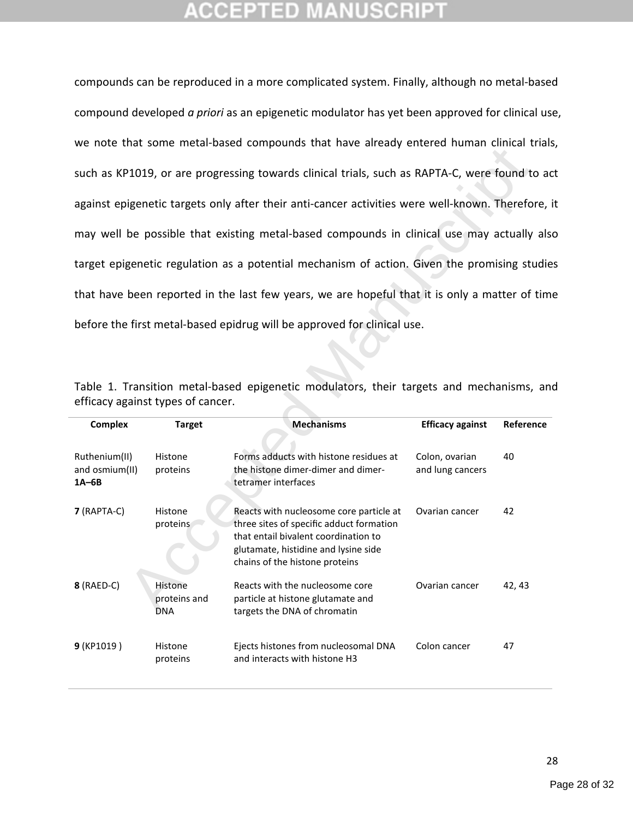compounds can be reproduced in a more complicated system. Finally, although no metal-based compound developed *a priori* as an epigenetic modulator has yet been approved for clinical use, we note that some metal-based compounds that have already entered human clinical trials, such as KP1019, or are progressing towards clinical trials, such as RAPTA-C, were found to act against epigenetic targets only after their anti-cancer activities were well-known. Therefore, it may well be possible that existing metal-based compounds in clinical use may actually also target epigenetic regulation as a potential mechanism of action. Given the promising studies that have been reported in the last few years, we are hopeful that it is only a matter of time before the first metal-based epidrug will be approved for clinical use.

|                                                                                                                              | such as KP1019, or are progressing towards clinical trials, such as RAPTA-C, were found to a   |                                                                                                                                                                                                       |                                    |           |  |  |  |  |
|------------------------------------------------------------------------------------------------------------------------------|------------------------------------------------------------------------------------------------|-------------------------------------------------------------------------------------------------------------------------------------------------------------------------------------------------------|------------------------------------|-----------|--|--|--|--|
|                                                                                                                              | against epigenetic targets only after their anti-cancer activities were well-known. Therefore, |                                                                                                                                                                                                       |                                    |           |  |  |  |  |
| may well be possible that existing metal-based compounds in clinical use may actually als                                    |                                                                                                |                                                                                                                                                                                                       |                                    |           |  |  |  |  |
| target epigenetic regulation as a potential mechanism of action. Given the promising studio                                  |                                                                                                |                                                                                                                                                                                                       |                                    |           |  |  |  |  |
|                                                                                                                              |                                                                                                | that have been reported in the last few years, we are hopeful that it is only a matter of tim                                                                                                         |                                    |           |  |  |  |  |
|                                                                                                                              |                                                                                                | before the first metal-based epidrug will be approved for clinical use.                                                                                                                               |                                    |           |  |  |  |  |
|                                                                                                                              |                                                                                                |                                                                                                                                                                                                       |                                    |           |  |  |  |  |
| Table 1. Transition metal-based epigenetic modulators, their targets and mechanisms, ar<br>efficacy against types of cancer. |                                                                                                |                                                                                                                                                                                                       |                                    |           |  |  |  |  |
| <b>Complex</b>                                                                                                               |                                                                                                |                                                                                                                                                                                                       |                                    |           |  |  |  |  |
|                                                                                                                              | <b>Target</b>                                                                                  | <b>Mechanisms</b>                                                                                                                                                                                     | <b>Efficacy against</b>            | Reference |  |  |  |  |
| Ruthenium(II)<br>and osmium(II)<br>$1A-6B$                                                                                   | Histone<br>proteins                                                                            | Forms adducts with histone residues at<br>the histone dimer-dimer and dimer-<br>tetramer interfaces                                                                                                   | Colon, ovarian<br>and lung cancers | 40        |  |  |  |  |
| 7 (RAPTA-C)                                                                                                                  | Histone<br>proteins                                                                            | Reacts with nucleosome core particle at<br>three sites of specific adduct formation<br>that entail bivalent coordination to<br>glutamate, histidine and lysine side<br>chains of the histone proteins | Ovarian cancer                     | 42        |  |  |  |  |
| 8 (RAED-C)                                                                                                                   | Histone<br>proteins and<br><b>DNA</b>                                                          | Reacts with the nucleosome core<br>particle at histone glutamate and<br>targets the DNA of chromatin                                                                                                  | Ovarian cancer                     | 42, 43    |  |  |  |  |

|  |                                   |  |  | Table 1. Transition metal-based epigenetic modulators, their targets and mechanisms, and |  |
|--|-----------------------------------|--|--|------------------------------------------------------------------------------------------|--|
|  | efficacy against types of cancer. |  |  |                                                                                          |  |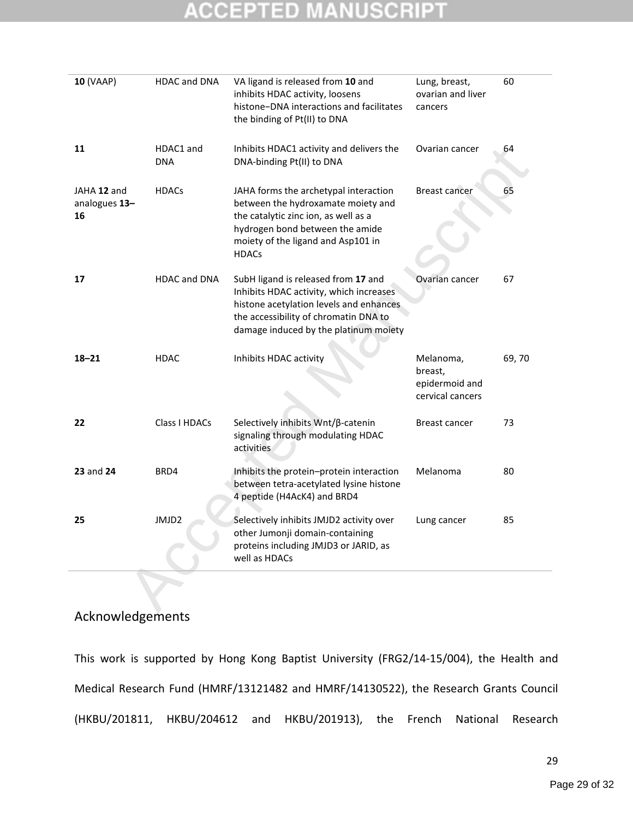# **ACCEPTED MANUSCRIP**

| 10 (VAAP)                          | HDAC and DNA            | VA ligand is released from 10 and<br>inhibits HDAC activity, loosens<br>histone-DNA interactions and facilitates<br>the binding of Pt(II) to DNA                                                             | Lung, breast,<br>ovarian and liver<br>cancers              | 60    |
|------------------------------------|-------------------------|--------------------------------------------------------------------------------------------------------------------------------------------------------------------------------------------------------------|------------------------------------------------------------|-------|
| 11                                 | HDAC1 and<br><b>DNA</b> | Inhibits HDAC1 activity and delivers the<br>DNA-binding Pt(II) to DNA                                                                                                                                        | Ovarian cancer                                             | 64    |
| JAHA 12 and<br>analogues 13-<br>16 | <b>HDACs</b>            | JAHA forms the archetypal interaction<br>between the hydroxamate moiety and<br>the catalytic zinc ion, as well as a<br>hydrogen bond between the amide<br>moiety of the ligand and Asp101 in<br><b>HDACs</b> | <b>Breast cancer</b>                                       | 65    |
| 17                                 | <b>HDAC and DNA</b>     | SubH ligand is released from 17 and<br>Inhibits HDAC activity, which increases<br>histone acetylation levels and enhances<br>the accessibility of chromatin DNA to<br>damage induced by the platinum moiety  | Ovarian cancer                                             | 67    |
| $18 - 21$                          | <b>HDAC</b>             | Inhibits HDAC activity                                                                                                                                                                                       | Melanoma,<br>breast,<br>epidermoid and<br>cervical cancers | 69,70 |
| 22                                 | Class I HDACs           | Selectively inhibits Wnt/β-catenin<br>signaling through modulating HDAC<br>activities                                                                                                                        | <b>Breast cancer</b>                                       | 73    |
| 23 and 24                          | BRD4                    | Inhibits the protein-protein interaction<br>between tetra-acetylated lysine histone<br>4 peptide (H4AcK4) and BRD4                                                                                           | Melanoma                                                   | 80    |
| 25                                 | JMJD2                   | Selectively inhibits JMJD2 activity over<br>other Jumonji domain-containing<br>proteins including JMJD3 or JARID, as<br>well as HDACs                                                                        | Lung cancer                                                | 85    |
|                                    |                         |                                                                                                                                                                                                              |                                                            |       |

### Acknowledgements

This work is supported by Hong Kong Baptist University (FRG2/14-15/004), the Health and Medical Research Fund (HMRF/13121482 and HMRF/14130522), the Research Grants Council (HKBU/201811, HKBU/204612 and HKBU/201913), the French National Research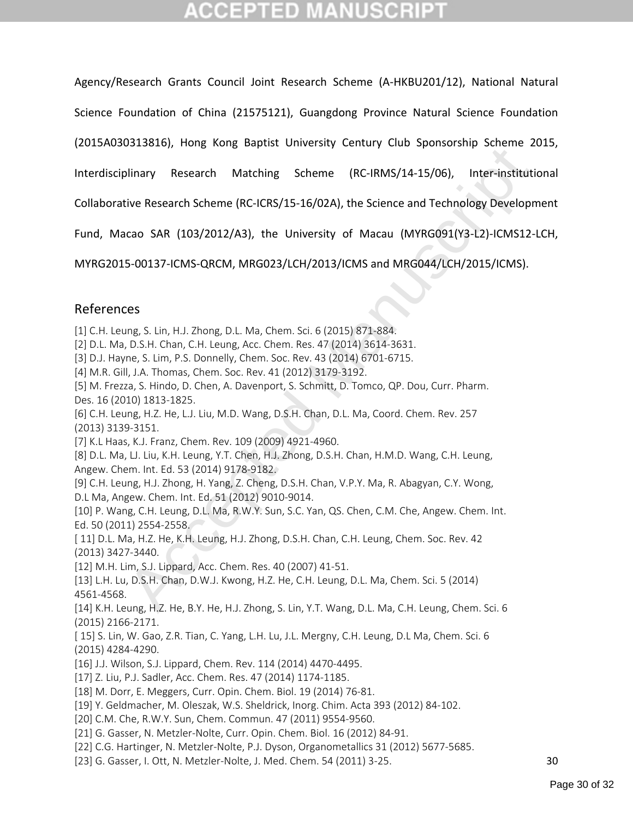Agency/Research Grants Council Joint Research Scheme (A-HKBU201/12), National Natural

Science Foundation of China (21575121), Guangdong Province Natural Science Foundation

(2015A030313816), Hong Kong Baptist University Century Club Sponsorship Scheme 2015,

Interdisciplinary Research Matching Scheme (RC-IRMS/14-15/06), Inter-institutional

Collaborative Research Scheme (RC-ICRS/15-16/02A), the Science and Technology Development

Fund, Macao SAR (103/2012/A3), the University of Macau (MYRG091(Y3-L2)-ICMS12-LCH,

MYRG2015-00137-ICMS-QRCM, MRG023/LCH/2013/ICMS and MRG044/LCH/2015/ICMS).

### References

[1] C.H. Leung, S. Lin, H.J. Zhong, D.L. Ma, Chem. Sci. 6 (2015) 871-884.

[2] D.L. Ma, D.S.H. Chan, C.H. Leung, Acc. Chem. Res. 47 (2014) 3614-3631.

[3] D.J. Hayne, S. Lim, P.S. Donnelly, Chem. Soc. Rev. 43 (2014) 6701-6715.

[4] M.R. Gill, J.A. Thomas, Chem. Soc. Rev. 41 (2012) 3179-3192.

[5] M. Frezza, S. Hindo, D. Chen, A. Davenport, S. Schmitt, D. Tomco, QP. Dou, Curr. Pharm. Des. 16 (2010) 1813-1825.

[6] C.H. Leung, H.Z. He, L.J. Liu, M.D. Wang, D.S.H. Chan, D.L. Ma, Coord. Chem. Rev. 257 (2013) 3139-3151.

[7] K.L Haas, K.J. Franz, Chem. Rev. 109 (2009) 4921-4960.

[8] D.L. Ma, LJ. Liu, K.H. Leung, Y.T. Chen, H.J. Zhong, D.S.H. Chan, H.M.D. Wang, C.H. Leung, Angew. Chem. Int. Ed. 53 (2014) 9178-9182.

[9] C.H. Leung, H.J. Zhong, H. Yang, Z. Cheng, D.S.H. Chan, V.P.Y. Ma, R. Abagyan, C.Y. Wong, D.L Ma, Angew. Chem. Int. Ed. 51 (2012) 9010-9014.

0515006, nong kong equals onterlary centary club sponsorsing survine 2<br>
ilinary Research Matching Scheme (RC-IRMS/14-15/06), Inter-institutive<br>
Research Scheme (RC-ICRS/15-16/02A), the Science and Technology Developn<br>
cao [10] P. Wang, C.H. Leung, D.L. Ma, R.W.Y. Sun, S.C. Yan, QS. Chen, C.M. Che, Angew. Chem. Int. Ed. 50 (2011) 2554-2558.

[ 11] D.L. Ma, H.Z. He, K.H. Leung, H.J. Zhong, D.S.H. Chan, C.H. Leung, Chem. Soc. Rev. 42 (2013) 3427-3440.

[12] M.H. Lim, S.J. Lippard, Acc. Chem. Res. 40 (2007) 41-51.

[13] L.H. Lu, D.S.H. Chan, D.W.J. Kwong, H.Z. He, C.H. Leung, D.L. Ma, Chem. Sci. 5 (2014) 4561-4568.

[14] K.H. Leung, H.Z. He, B.Y. He, H.J. Zhong, S. Lin, Y.T. Wang, D.L. Ma, C.H. Leung, Chem. Sci. 6 (2015) 2166-2171.

[ 15] S. Lin, W. Gao, Z.R. Tian, C. Yang, L.H. Lu, J.L. Mergny, C.H. Leung, D.L Ma, Chem. Sci. 6 (2015) 4284-4290.

[16] J.J. Wilson, S.J. Lippard, Chem. Rev. 114 (2014) 4470-4495.

[17] Z. Liu, P.J. Sadler, Acc. Chem. Res. 47 (2014) 1174-1185.

[18] M. Dorr, E. Meggers, Curr. Opin. Chem. Biol. 19 (2014) 76-81.

[19] Y. Geldmacher, M. Oleszak, W.S. Sheldrick, Inorg. Chim. Acta 393 (2012) 84-102.

[20] C.M. Che, R.W.Y. Sun, Chem. Commun. 47 (2011) 9554-9560.

[21] G. Gasser, N. Metzler-Nolte, Curr. Opin. Chem. Biol. 16 (2012) 84-91.

[22] C.G. Hartinger, N. Metzler-Nolte, P.J. Dyson, Organometallics 31 (2012) 5677-5685.

[23] G. Gasser, I. Ott, N. Metzler-Nolte, J. Med. Chem. 54 (2011) 3-25.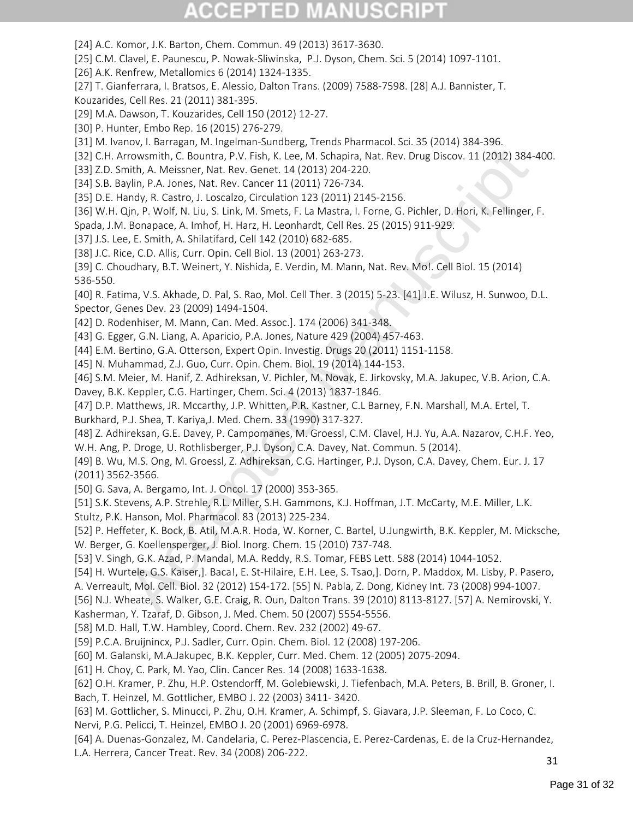[24] A.C. Komor, J.K. Barton, Chem. Commun. 49 (2013) 3617-3630.

[25] C.M. Clavel, E. Paunescu, P. Nowak-Sliwinska, P.J. Dyson, Chem. Sci. 5 (2014) 1097-1101.

[26] A.K. Renfrew, Metallomics 6 (2014) 1324-1335.

[27] T. Gianferrara, I. Bratsos, E. Alessio, Dalton Trans. (2009) 7588-7598. [28] A.J. Bannister, T.

Kouzarides, Cell Res. 21 (2011) 381-395.

[29] M.A. Dawson, T. Kouzarides, Cell 150 (2012) 12-27.

[30] P. Hunter, Embo Rep. 16 (2015) 276-279.

[31] M. Ivanov, I. Barragan, M. Ingelman-Sundberg, Trends Pharmacol. Sci. 35 (2014) 384-396.

[32] C.H. Arrowsmith, C. Bountra, P.V. Fish, K. Lee, M. Schapira, Nat. Rev. Drug Discov. 11 (2012) 384-400.

[33] Z.D. Smith, A. Meissner, Nat. Rev. Genet. 14 (2013) 204-220.

[34] S.B. Baylin, P.A. Jones, Nat. Rev. Cancer 11 (2011) 726-734.

[35] D.E. Handy, R. Castro, J. Loscalzo, Circulation 123 (2011) 2145-2156.

[36] W.H. Qjn, P. Wolf, N. Liu, S. Link, M. Smets, F. La Mastra, I. Forne, G. Pichler, D. Hori, K. Fellinger, F.

Spada, J.M. Bonapace, A. Imhof, H. Harz, H. Leonhardt, Cell Res. 25 (2015) 911-929.

[37] J.S. Lee, E. Smith, A. Shilatifard, Cell 142 (2010) 682-685.

[38] J.C. Rice, C.D. Allis, Curr. Opin. Cell Biol. 13 (2001) 263-273.

[39] C. Choudhary, B.T. Weinert, Y. Nishida, E. Verdin, M. Mann, Nat. Rev. Mo!. Cell Biol. 15 (2014) 536-550.

[40] R. Fatima, V.S. Akhade, D. Pal, S. Rao, Mol. Cell Ther. 3 (2015) 5-23. [41] J.E. Wilusz, H. Sunwoo, D.L. Spector, Genes Dev. 23 (2009) 1494-1504.

[42] D. Rodenhiser, M. Mann, Can. Med. Assoc.]. 174 (2006) 341-348.

[43] G. Egger, G.N. Liang, A. Aparicio, P.A. Jones, Nature 429 (2004) 457-463.

[44] E.M. Bertino, G.A. Otterson, Expert Opin. Investig. Drugs 20 (2011) 1151-1158.

[45] N. Muhammad, Z.J. Guo, Curr. Opin. Chem. Biol. 19 (2014) 144-153.

[46] S.M. Meier, M. Hanif, Z. Adhireksan, V. Pichler, M. Novak, E. Jirkovsky, M.A. Jakupec, V.B. Arion, C.A. Davey, B.K. Keppler, C.G. Hartinger, Chem. Sci. 4 (2013) 1837-1846.

[47] D.P. Matthews, JR. Mccarthy, J.P. Whitten, P.R. Kastner, C.L Barney, F.N. Marshall, M.A. Ertel, T. Burkhard, P.J. Shea, T. Kariya,J. Med. Chem. 33 (1990) 317-327.

rrowsmith, C. Bountra, P.V. Fish, K. Lee, M. Schapira, Nat. Rev. Drog Discov. 11 (2012) 384-<br>nith, A. Meisenc, Nat. Rev. Genet. 14 (2013) 204-220.<br>plin, A. Meisenc, Nat. Rev. Genet. 14 (2013) 204-220.<br>plin, P.A. Jones, Nat [48] Z. Adhireksan, G.E. Davey, P. Campomanes, M. Groessl, C.M. Clavel, H.J. Yu, A.A. Nazarov, C.H.F. Yeo, W.H. Ang, P. Droge, U. Rothlisberger, P.J. Dyson, C.A. Davey, Nat. Commun. 5 (2014).

[49] B. Wu, M.S. Ong, M. Groessl, Z. Adhireksan, C.G. Hartinger, P.J. Dyson, C.A. Davey, Chem. Eur. J. 17 (2011) 3562-3566.

[50] G. Sava, A. Bergamo, Int. J. Oncol. 17 (2000) 353-365.

[51] S.K. Stevens, A.P. Strehle, R.L. Miller, S.H. Gammons, K.J. Hoffman, J.T. McCarty, M.E. Miller, L.K. Stultz, P.K. Hanson, Mol. Pharmacol. 83 (2013) 225-234.

[52] P. Heffeter, K. Bock, B. Atil, M.A.R. Hoda, W. Korner, C. Bartel, U.Jungwirth, B.K. Keppler, M. Micksche, W. Berger, G. Koellensperger, J. Biol. Inorg. Chem. 15 (2010) 737-748.

[53] V. Singh, G.K. Azad, P. Mandal, M.A. Reddy, R.S. Tomar, FEBS Lett. 588 (2014) 1044-1052.

[54] H. Wurtele, G.S. Kaiser,]. Baca!, E. St-Hilaire, E.H. Lee, S. Tsao,]. Dorn, P. Maddox, M. Lisby, P. Pasero,

A. Verreault, Mol. Cell. Biol. 32 (2012) 154-172. [55] N. Pabla, Z. Dong, Kidney Int. 73 (2008) 994-1007.

[56] N.J. Wheate, S. Walker, G.E. Craig, R. Oun, Dalton Trans. 39 (2010) 8113-8127. [57] A. Nemirovski, Y.

Kasherman, Y. Tzaraf, D. Gibson, J. Med. Chem. 50 (2007) 5554-5556.

[58] M.D. Hall, T.W. Hambley, Coord. Chem. Rev. 232 (2002) 49-67.

[59] P.C.A. Bruijnincx, P.J. Sadler, Curr. Opin. Chem. Biol. 12 (2008) 197-206.

[60] M. Galanski, M.A.Jakupec, B.K. Keppler, Curr. Med. Chem. 12 (2005) 2075-2094.

[61] H. Choy, C. Park, M. Yao, Clin. Cancer Res. 14 (2008) 1633-1638.

[62] O.H. Kramer, P. Zhu, H.P. Ostendorff, M. Golebiewski, J. Tiefenbach, M.A. Peters, B. Brill, B. Groner, I. Bach, T. Heinzel, M. Gottlicher, EMBO J. 22 (2003) 3411- 3420.

[63] M. Gottlicher, S. Minucci, P. Zhu, O.H. Kramer, A. Schimpf, S. Giavara, J.P. Sleeman, F. Lo Coco, C.

Nervi, P.G. Pelicci, T. Heinzel, EMBO J. 20 (2001) 6969-6978.

[64] A. Duenas-Gonzalez, M. Candelaria, C. Perez-Plascencia, E. Perez-Cardenas, E. de Ia Cruz-Hernandez, L.A. Herrera, Cancer Treat. Rev. 34 (2008) 206-222.